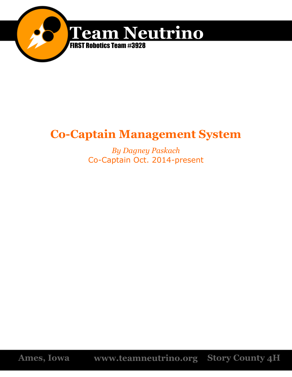

# **Co-Captain Management System**

*By Dagney Paskach* Co-Captain Oct. 2014-present

**Ames, Iowa www.teamneutrino.org Story County 4H**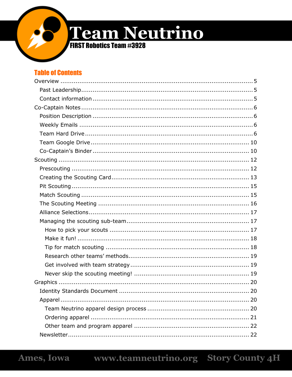

**FIRST Robotics Team #3928** 

# **Table of Contents**

| 20 |
|----|
|    |
|    |
|    |
|    |
|    |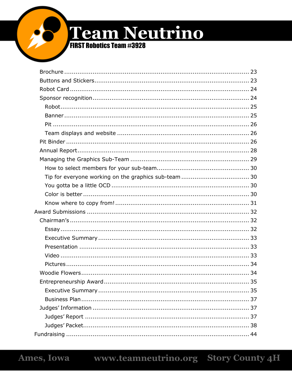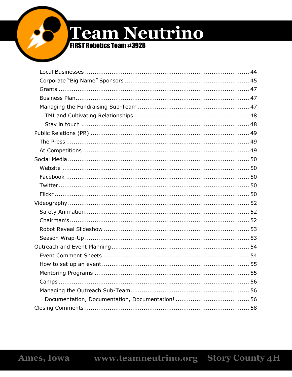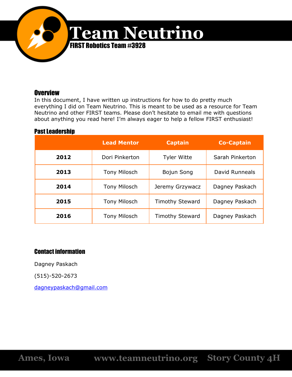

# **Overview**

In this document, I have written up instructions for how to do pretty much everything I did on Team Neutrino. This is meant to be used as a resource for Team Neutrino and other FIRST teams. Please don't hesitate to email me with questions about anything you read here! I'm always eager to help a fellow FIRST enthusiast!

# **Past Leadership**

|      | <b>Lead Mentor</b>  | <b>Captain</b>         | <b>Co-Captain</b> |  |
|------|---------------------|------------------------|-------------------|--|
| 2012 | Dori Pinkerton      | <b>Tyler Witte</b>     | Sarah Pinkerton   |  |
| 2013 | <b>Tony Milosch</b> | Bojun Song             | David Runneals    |  |
| 2014 | <b>Tony Milosch</b> | Jeremy Grzywacz        | Dagney Paskach    |  |
| 2015 | <b>Tony Milosch</b> | <b>Timothy Steward</b> | Dagney Paskach    |  |
| 2016 | <b>Tony Milosch</b> |                        | Dagney Paskach    |  |

# Contact information

Dagney Paskach

(515)-520-2673

[dagneypaskach@gmail.com](mailto:dagneypaskach@gmail.com)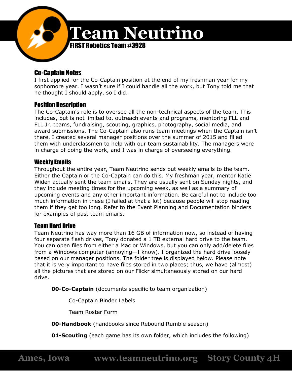

# Co-Captain Notes

I first applied for the Co-Captain position at the end of my freshman year for my sophomore year. I wasn't sure if I could handle all the work, but Tony told me that he thought I should apply, so I did.

# Position Description

The Co-Captain's role is to oversee all the non-technical aspects of the team. This includes, but is not limited to, outreach events and programs, mentoring FLL and FLL Jr. teams, fundraising, scouting, graphics, photography, social media, and award submissions. The Co-Captain also runs team meetings when the Captain isn't there. I created several manager positions over the summer of 2015 and filled them with underclassmen to help with our team sustainability. The managers were in charge of doing the work, and I was in charge of overseeing everything.

# Weekly Emails

Throughout the entire year, Team Neutrino sends out weekly emails to the team. Either the Captain or the Co-Captain can do this. My freshman year, mentor Katie Widen actually sent the team emails. They are usually sent on Sunday nights, and they include meeting times for the upcoming week, as well as a summary of upcoming events and any other important information. Be careful not to include too much information in these (I failed at that a lot) because people will stop reading them if they get too long. Refer to the Event Planning and Documentation binders for examples of past team emails.

# Team Hard Drive

Team Neutrino has way more than 16 GB of information now, so instead of having four separate flash drives, Tony donated a 1 TB external hard drive to the team. You can open files from either a Mac or Windows, but you can only add/delete files from a Windows computer (annoying—I know). I organized the hard drive loosely based on our manager positions. The folder tree is displayed below. Please note that it is very important to have files stored in two places; thus, we have (almost) all the pictures that are stored on our Flickr simultaneously stored on our hard drive.

**00-Co-Captain** (documents specific to team organization)

Co-Captain Binder Labels

Team Roster Form

**00-Handbook** (handbooks since Rebound Rumble season)

**01-Scouting** (each game has its own folder, which includes the following)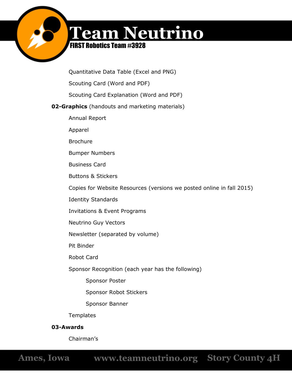

# FIRST Robotics Team #3928

Quantitative Data Table (Excel and PNG)

Scouting Card (Word and PDF)

Scouting Card Explanation (Word and PDF)

# **02-Graphics** (handouts and marketing materials)

Annual Report

Apparel

Brochure

Bumper Numbers

Business Card

Buttons & Stickers

Copies for Website Resources (versions we posted online in fall 2015)

Identity Standards

Invitations & Event Programs

Neutrino Guy Vectors

Newsletter (separated by volume)

Pit Binder

Robot Card

Sponsor Recognition (each year has the following)

Sponsor Poster

Sponsor Robot Stickers

Sponsor Banner

**Templates** 

# **03-Awards**

Chairman's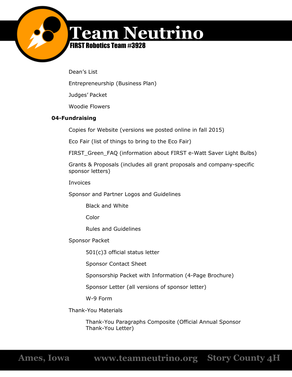

# FIRST Robotics Team #3928

Dean's List

Entrepreneurship (Business Plan)

Judges' Packet

Woodie Flowers

# **04-Fundraising**

Copies for Website (versions we posted online in fall 2015)

Eco Fair (list of things to bring to the Eco Fair)

FIRST\_Green\_FAQ (information about FIRST e-Watt Saver Light Bulbs)

Grants & Proposals (includes all grant proposals and company-specific sponsor letters)

Invoices

Sponsor and Partner Logos and Guidelines

Black and White

Color

Rules and Guidelines

Sponsor Packet

501(c)3 official status letter

Sponsor Contact Sheet

Sponsorship Packet with Information (4-Page Brochure)

Sponsor Letter (all versions of sponsor letter)

W-9 Form

Thank-You Materials

Thank-You Paragraphs Composite (Official Annual Sponsor Thank-You Letter)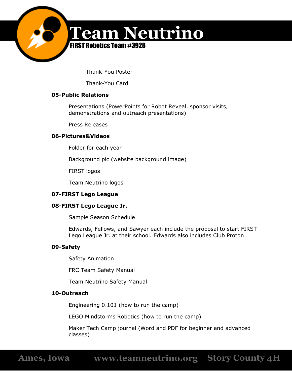

Thank-You Poster

Thank-You Card

## **05-Public Relations**

Presentations (PowerPoints for Robot Reveal, sponsor visits, demonstrations and outreach presentations)

Press Releases

## **06-Pictures&Videos**

Folder for each year

Background pic (website background image)

FIRST logos

Team Neutrino logos

## **07-FIRST Lego League**

## **08-FIRST Lego League Jr.**

Sample Season Schedule

Edwards, Fellows, and Sawyer each include the proposal to start FIRST Lego League Jr. at their school. Edwards also includes Club Proton

#### **09-Safety**

Safety Animation

FRC Team Safety Manual

Team Neutrino Safety Manual

## **10-Outreach**

Engineering 0.101 (how to run the camp)

LEGO Mindstorms Robotics (how to run the camp)

Maker Tech Camp journal (Word and PDF for beginner and advanced classes)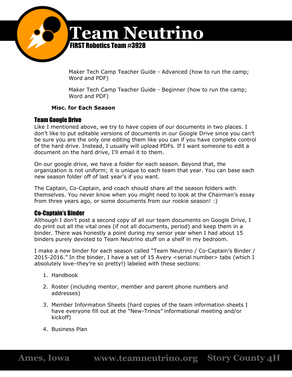

Maker Tech Camp Teacher Guide - Advanced (how to run the camp; Word and PDF)

Maker Tech Camp Teacher Guide - Beginner (how to run the camp; Word and PDF)

## **Misc. for Each Season**

# Team Google Drive

Like I mentioned above, we try to have copies of our documents in two places. I don't like to put editable versions of documents in our Google Drive since you can't be sure you are the only one editing them like you can if you have complete control of the hard drive. Instead, I usually will upload PDFs. If I want someone to edit a document on the hard drive, I'll email it to them.

On our google drive, we have a folder for each season. Beyond that, the organization is not uniform; it is unique to each team that year. You can base each new season folder off of last year's if you want.

The Captain, Co-Captain, and coach should share *all* the season folders with themselves. You never know when you might need to look at the Chairman's essay from three years ago, or some documents from our rookie season! :)

# Co-Captain's Binder

Although I don't post a second copy of all our team documents on Google Drive, I do print out all the vital ones (if not all documents, period) and keep them in a binder. There was honestly a point during my senior year when I had about 15 binders purely devoted to Team Neutrino stuff on a shelf in my bedroom.

I make a new binder for each season called "Team Neutrino / Co-Captain's Binder / 2015-2016." In the binder, I have a set of 15 Avery <serial number> tabs (which I absolutely love–they're so pretty!) labeled with these sections:

- 1. Handbook
- 2. Roster (including mentor, member and parent phone numbers and addresses)
- 3. Member Information Sheets (hard copies of the team information sheets I have everyone fill out at the "New-Trinos" informational meeting and/or kickoff)
- 4. Business Plan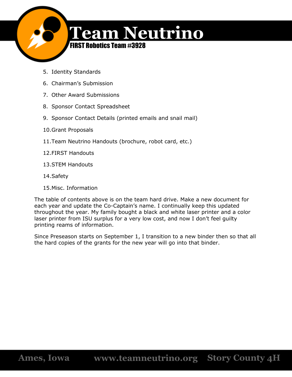

- 5. Identity Standards
- 6. Chairman's Submission
- 7. Other Award Submissions
- 8. Sponsor Contact Spreadsheet
- 9. Sponsor Contact Details (printed emails and snail mail)
- 10.Grant Proposals
- 11.Team Neutrino Handouts (brochure, robot card, etc.)
- 12.FIRST Handouts
- 13.STEM Handouts
- 14.Safety
- 15.Misc. Information

The table of contents above is on the team hard drive. Make a new document for each year and update the Co-Captain's name. I continually keep this updated throughout the year. My family bought a black and white laser printer and a color laser printer from ISU surplus for a very low cost, and now I don't feel guilty printing reams of information.

Since Preseason starts on September 1, I transition to a new binder then so that all the hard copies of the grants for the new year will go into that binder.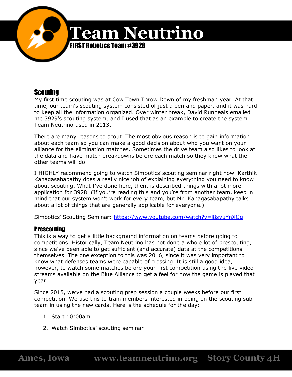

# **Scouting**

My first time scouting was at Cow Town Throw Down of my freshman year. At that time, our team's scouting system consisted of just a pen and paper, and it was hard to keep all the information organized. Over winter break, David Runneals emailed me 3929's scouting system, and I used that as an example to create the system Team Neutrino used in 2013.

There are many reasons to scout. The most obvious reason is to gain information about each team so you can make a good decision about who you want on your alliance for the elimination matches. Sometimes the drive team also likes to look at the data and have match breakdowns before each match so they know what the other teams will do.

I HIGHLY recommend going to watch Simbotics' scouting seminar right now. Karthik Kanagasabapathy does a really nice job of explaining everything you need to know about scouting. What I've done here, then, is described things with a lot more application for 3928. (If you're reading this and you're from another team, keep in mind that our system won't work for every team, but Mr. Kanagasabapathy talks about a lot of things that are generally applicable for everyone.)

Simbotics' Scouting Seminar: <https://www.youtube.com/watch?v=l8syuYnXfJg>

# **Prescouting**

This is a way to get a little background information on teams before going to competitions. Historically, Team Neutrino has not done a whole lot of prescouting, since we've been able to get sufficient (and accurate) data at the competitions themselves. The one exception to this was 2016, since it was very important to know what defenses teams were capable of crossing. It is still a good idea, however, to watch some matches before your first competition using the live video streams available on the Blue Alliance to get a feel for how the game is played that year.

Since 2015, we've had a scouting prep session a couple weeks before our first competition. We use this to train members interested in being on the scouting subteam in using the new cards. Here is the schedule for the day:

- 1. Start 10:00am
- 2. Watch Simbotics' scouting seminar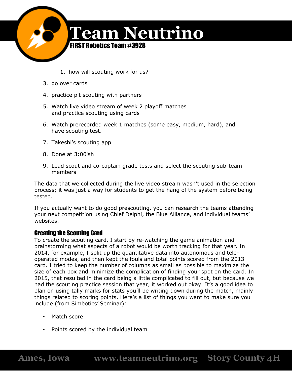

- 1. how will scouting work for us?
- 3. go over cards
- 4. practice pit scouting with partners
- 5. Watch live video stream of week 2 playoff matches and practice scouting using cards
- 6. Watch prerecorded week 1 matches (some easy, medium, hard), and have scouting test.
- 7. Takeshi's scouting app
- 8. Done at 3:00ish
- 9. Lead scout and co-captain grade tests and select the scouting sub-team members

The data that we collected during the live video stream wasn't used in the selection process; it was just a way for students to get the hang of the system before being tested.

If you actually want to do good prescouting, you can research the teams attending your next competition using Chief Delphi, the Blue Alliance, and individual teams' websites.

## Creating the Scouting Card

To create the scouting card, I start by re-watching the game animation and brainstorming what aspects of a robot would be worth tracking for that year. In 2014, for example, I split up the quantitative data into autonomous and teleoperated modes, and then kept the fouls and total points scored from the 2013 card. I tried to keep the number of columns as small as possible to maximize the size of each box and minimize the complication of finding your spot on the card. In 2015, that resulted in the card being a little complicated to fill out, but because we had the scouting practice session that year, it worked out okay. It's a good idea to plan on using tally marks for stats you'll be writing down during the match, mainly things related to scoring points. Here's a list of things you want to make sure you include (from Simbotics' Seminar):

- Match score
- Points scored by the individual team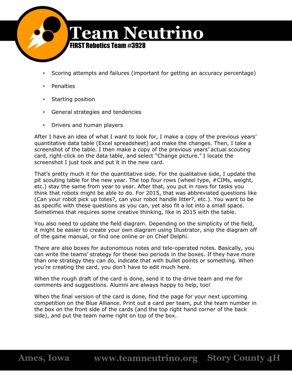

- Scoring attempts and failures (important for getting an accuracy percentage)
- **Penalties**
- Starting position
- General strategies and tendencies
- Drivers and human players

After I have an idea of what I want to look for, I make a copy of the previous years' quantitative data table (Excel spreadsheet) and make the changes. Then, I take a screenshot of the table. I then make a copy of the previous years' actual scouting card, right-click on the data table, and select "Change picture." I locate the screenshot I just took and put it in the new card.

That's pretty much it for the quantitative side. For the qualitative side, I update the pit scouting table for the new year. The top four rows (wheel type, #CIMs, weight, etc.) stay the same from year to year. After that, you put in rows for tasks you think that robots might be able to do. For 2015, that was abbreviated questions like (Can your robot pick up totes?, can your robot handle litter?, etc.). You want to be as specific with these questions as you can, yet also fit a lot into a small space. Sometimes that requires some creative thinking, like in 2015 with the table.

You also need to update the field diagram. Depending on the simplicity of the field, it might be easier to create your own diagram using Illustrator, snip the diagram off of the game manual, or find one online or on Chief Delphi.

There are also boxes for autonomous notes and tele-operated notes. Basically, you can write the teams' strategy for these two periods in the boxes. If they have more than one strategy they can do, indicate that with bullet points or something. When you're creating the card, you don't have to edit much here.

When the rough draft of the card is done, send it to the drive team and me for comments and suggestions. Alumni are always happy to help, too!

When the final version of the card is done, find the page for your next upcoming competition on the Blue Alliance. Print out a card per team, put the team number in the box on the front side of the cards (and the top right hand corner of the back side), and put the team name right on top of the box.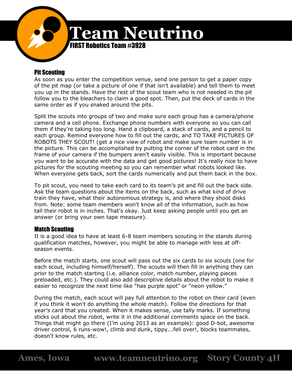

# Pit Scouting

As soon as you enter the competition venue, send one person to get a paper copy of the pit map (or take a picture of one if that isn't available) and tell them to meet you up in the stands. Have the rest of the scout team who is not needed in the pit follow you to the bleachers to claim a good spot. Then, put the deck of cards in the same order as if you snaked around the pits.

Split the scouts into groups of two and make sure each group has a camera/phone camera and a cell phone. Exchange phone numbers with everyone so you can call them if they're taking too long. Hand a clipboard, a stack of cards, and a pencil to each group. Remind everyone how to fill out the cards, and TO TAKE PICTURES OF ROBOTS THEY SCOUT! (get a nice view of robot and make sure team number is in the picture. This can be accomplished by putting the corner of the robot card in the frame of your camera if the bumpers aren't easily visible. This is important because you want to be accurate with the data and get good pictures! It's really nice to have pictures for the scouting meeting so you can remember what robots looked like. When everyone gets back, sort the cards numerically and put them back in the box.

To pit scout, you need to take each card to its team's pit and fill out the back side. Ask the team questions about the items on the back, such as what kind of drive train they have, what their autonomous strategy is, and where they shoot disks from. Note: some team members won't know all of the information, such as how tall their robot is in inches. That's okay. Just keep asking people until you get an answer (or bring your own tape measure).

# Match Scouting

It is a good idea to have at least 6-8 team members scouting in the stands during qualification matches, however, you might be able to manage with less at offseason events.

Before the match starts, one scout will pass out the six cards to six scouts (one for each scout, including himself/herself). The scouts will then fill in anything they can prior to the match starting (i.e. alliance color, match number, playing pieces preloaded, etc.). They could also add descriptive details about the robot to make it easier to recognize the next time like "has purple spot" or "neon yellow."

During the match, each scout will pay full attention to the robot on their card (even if you think it won't do anything the whole match). Follow the directions for that year's card that you created. When it makes sense, use tally marks. If something sticks out about the robot, write it in the additional comments space on the back. Things that might go there (I'm using 2013 as an example): good D-bot, awesome driver control, 6 runs-wow!, climb and dunk, tippy...fell over!, blocks teammates, doesn't know rules, etc.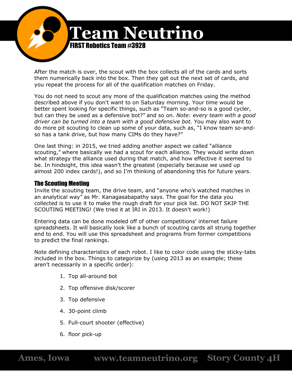

After the match is over, the scout with the box collects all of the cards and sorts them numerically back into the box. Then they get out the next set of cards, and you repeat the process for all of the qualification matches on Friday.

You do not need to scout any more of the qualification matches using the method described above if you don't want to on Saturday morning. Your time would be better spent looking for specific things, such as "Team so-and-so is a good cycler, but can they be used as a defensive bot?" and so on. *Note: every team with a good driver can be turned into a team with a good defensive bot.* You may also want to do more pit scouting to clean up some of your data, such as, "I know team so-andso has a tank drive, but how many CIMs do they have?"

One last thing: in 2015, we tried adding another aspect we called "alliance scouting," where basically we had a scout for each alliance. They would write down what strategy the alliance used during that match, and how effective it seemed to be. In hindsight, this idea wasn't the greatest (especially because we used up almost 200 index cards!), and so I'm thinking of abandoning this for future years.

## The Scouting Meeting

Invite the scouting team, the drive team, and "anyone who's watched matches in an analytical way" as Mr. Kanagasabapathy says. The goal for the data you collected is to use it to make the rough draft for your pick list. DO NOT SKIP THE SCOUTING MEETING! (We tried it at IRI in 2013. It doesn't work!)

Entering data can be done modeled off of other competitions' internet failure spreadsheets. It will basically look like a bunch of scouting cards all strung together end to end. You will use this spreadsheet and programs from former competitions to predict the final rankings.

Note defining characteristics of each robot. I like to color code using the sticky-tabs included in the box. Things to categorize by (using 2013 as an example; these aren't necessarily in a specific order):

- 1. Top all-around bot
- 2. Top offensive disk/scorer
- 3. Top defensive
- 4. 30-point climb
- 5. Full-court shooter (effective)
- 6. floor pick-up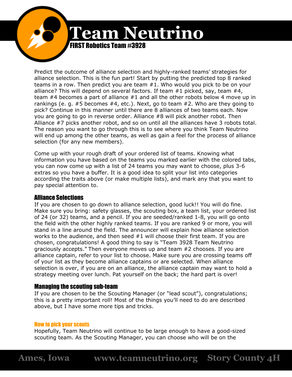

Predict the outcome of alliance selection and highly-ranked teams' strategies for alliance selection. This is the fun part! Start by putting the predicted top 8 ranked teams in a row. Then predict you are team #1. Who would you pick to be on your alliance? This will depend on several factors. If team #1 picked, say, team #4, team #4 becomes a part of alliance #1 and all the other robots below 4 move up in rankings (e. g. #5 becomes #4, etc.). Next, go to team #2. Who are they going to pick? Continue in this manner until there are 8 alliances of two teams each. Now you are going to go in reverse order. Alliance #8 will pick another robot. Then Alliance #7 picks another robot, and so on until all the alliances have 3 robots total. The reason you want to go through this is to see where you think Team Neutrino will end up among the other teams, as well as gain a feel for the process of alliance selection (for any new members).

Come up with your rough draft of your ordered list of teams. Knowing what information you have based on the teams you marked earlier with the colored tabs, you can now come up with a list of 24 teams you may want to choose, plus 3-6 extras so you have a buffer. It is a good idea to split your list into categories according the traits above (or make multiple lists), and mark any that you want to pay special attention to.

# Alliance Selections

If you are chosen to go down to alliance selection, good luck!! You will do fine. Make sure you bring: safety glasses, the scouting box, a team list, your ordered list of 24 (or 32) teams, and a pencil. If you are seeded/ranked 1-8, you will go onto the field with the other highly ranked teams. If you are ranked 9 or more, you will stand in a line around the field. The announcer will explain how alliance selection works to the audience, and then seed #1 will choose their first team. If you are chosen, congratulations! A good thing to say is "Team 3928 Team Neutrino graciously accepts." Then everyone moves up and team #2 chooses. If you are alliance captain, refer to your list to choose. Make sure you are crossing teams off of your list as they become alliance captains or are selected. When alliance selection is over, if you are on an alliance, the alliance captain may want to hold a strategy meeting over lunch. Pat yourself on the back; the hard part is over!

## Managing the scouting sub-team

If you are chosen to be the Scouting Manager (or "lead scout"), congratulations; this is a pretty important roll! Most of the things you'll need to do are described above, but I have some more tips and tricks.

## How to pick your scouts

Hopefully, Team Neutrino will continue to be large enough to have a good-sized scouting team. As the Scouting Manager, you can choose who will be on the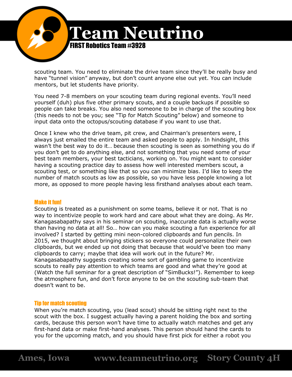

scouting team. You need to eliminate the drive team since they'll be really busy and have "tunnel vision" anyway, but don't count anyone else out yet. You can include mentors, but let students have priority.

You need 7-8 members on your scouting team during regional events. You'll need yourself (duh) plus five other primary scouts, and a couple backups if possible so people can take breaks. You also need someone to be in charge of the scouting box (this needs to not be you; see "Tip for Match Scouting" below) and someone to input data onto the octopus/scouting database if you want to use that.

Once I knew who the drive team, pit crew, and Chairman's presenters were, I always just emailed the entire team and asked people to apply. In hindsight, this wasn't the best way to do it… because then scouting is seen as something you do if you don't get to do anything else, and not something that you need some of your best team members, your best tacticians, working on. You might want to consider having a scouting practice day to assess how well interested members scout, a scouting test, or something like that so you can minimize bias. I'd like to keep the number of match scouts as low as possible, so you have less people knowing a lot more, as opposed to more people having less firsthand analyses about each team.

#### Make it fun!

Scouting is treated as a punishment on some teams, believe it or not. That is no way to incentivize people to work hard and care about what they are doing. As Mr. Kanagasabapathy says in his seminar on scouting, inaccurate data is actually worse than having no data at all! So… how can you make scouting a fun experience for all involved? I started by getting mini neon-colored clipboards and fun pencils. In 2015, we thought about bringing stickers so everyone could personalize their own clipboards, but we ended up not doing that because that would've been too many clipboards to carry; maybe that idea will work out in the future? Mr. Kanagasabapathy suggests creating some sort of gambling game to incentivize scouts to really pay attention to which teams are good and what they're good at (Watch the full seminar for a great description of "SimBucks!"). Remember to keep the atmosphere fun, and don't force anyone to be on the scouting sub-team that doesn't want to be.

#### Tip for match scouting

When you're match scouting, you (lead scout) should be sitting right next to the scout with the box. I suggest actually having a parent holding the box and sorting cards, because this person won't have time to actually watch matches and get any first-hand data or make first-hand analyses. This person should hand the cards to you for the upcoming match, and you should have first pick for either a robot you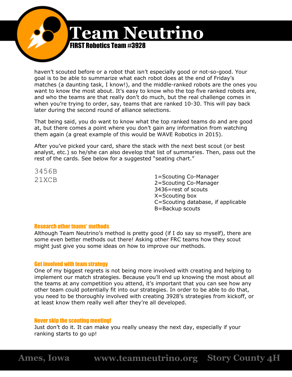

haven't scouted before or a robot that isn't especially good or not-so-good. Your goal is to be able to summarize what each robot does at the end of Friday's matches (a daunting task, I know!), and the middle-ranked robots are the ones you want to know the most about. It's easy to know who the top five ranked robots are, and who the teams are that really don't do much, but the real challenge comes in when you're trying to order, say, teams that are ranked 10-30. This will pay back later during the second round of alliance selections.

That being said, you do want to know what the top ranked teams do and are good at, but there comes a point where you don't gain any information from watching them again (a great example of this would be WAVE Robotics in 2015).

After you've picked your card, share the stack with the next best scout (or best analyst, etc.) so he/she can also develop that list of summaries. Then, pass out the rest of the cards. See below for a suggested "seating chart."

3456B

21 XCB 21 2000 1 = Scouting Co-Manager 2=Scouting Co-Manager 3436=rest of scouts X=Scouting box C=Scouting database, if applicable B=Backup scouts

#### Research other teams' methods

Although Team Neutrino's method is pretty good (if I do say so myself), there are some even better methods out there! Asking other FRC teams how they scout might just give you some ideas on how to improve our methods.

#### Get involved with team strategy

One of my biggest regrets is not being more involved with creating and helping to implement our match strategies. Because you'll end up knowing the most about all the teams at any competition you attend, it's important that you can see how any other team could potentially fit into our strategies. In order to be able to do that, you need to be thoroughly involved with creating 3928's strategies from kickoff, or at least know them really well after they're all developed.

#### Never skip the scouting meeting!

Just don't do it. It can make you really uneasy the next day, especially if your ranking starts to go up!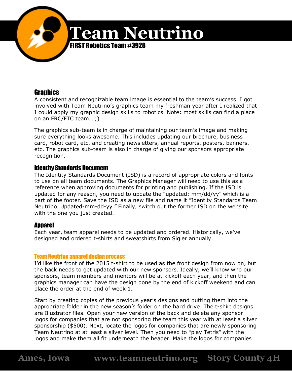

# **Graphics**

A consistent and recognizable team image is essential to the team's success. I got involved with Team Neutrino's graphics team my freshman year after I realized that I could apply my graphic design skills to robotics. Note: most skills can find a place on an FRC/FTC team… ;)

The graphics sub-team is in charge of maintaining our team's image and making sure everything looks awesome. This includes updating our brochure, business card, robot card, etc. and creating newsletters, annual reports, posters, banners, etc. The graphics sub-team is also in charge of giving our sponsors appropriate recognition.

# Identity Standards Document

The Identity Standards Document (ISD) is a record of appropriate colors and fonts to use on all team documents. The Graphics Manager will need to use this as a reference when approving documents for printing and publishing. If the ISD is updated for any reason, you need to update the "updated: mm/dd/yy" which is a part of the footer. Save the ISD as a new file and name it "Identity Standards Team Neutrino\_Updated-mm-dd-yy." Finally, switch out the former ISD on the website with the one you just created.

# **Apparel**

Each year, team apparel needs to be updated and ordered. Historically, we've designed and ordered t-shirts and sweatshirts from Sigler annually.

## Team Neutrino apparel design process

I'd like the front of the 2015 t-shirt to be used as the front design from now on, but the back needs to get updated with our new sponsors. Ideally, we'll know who our sponsors, team members and mentors will be at kickoff each year, and then the graphics manager can have the design done by the end of kickoff weekend and can place the order at the end of week 1.

Start by creating copies of the previous year's designs and putting them into the appropriate folder in the new season's folder on the hard drive. The t-shirt designs are Illustrator files. Open your new version of the back and delete any sponsor logos for companies that are not sponsoring the team this year with at least a silver sponsorship (\$500). Next, locate the logos for companies that are newly sponsoring Team Neutrino at at least a silver level. Then you need to "play Tetris" with the logos and make them all fit underneath the header. Make the logos for companies

**Ames, Iowa www.teamneutrino.org Story County 4H**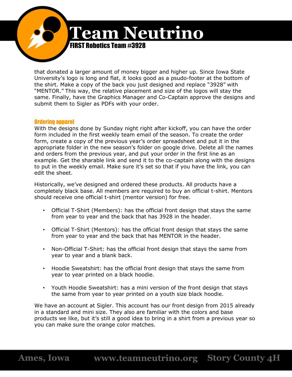

that donated a larger amount of money bigger and higher up. Since Iowa State University's logo is long and flat, it looks good as a psudo-footer at the bottom of the shirt. Make a copy of the back you just designed and replace "3928" with "MENTOR." This way, the relative placement and size of the logos will stay the same. Finally, have the Graphics Manager and Co-Captain approve the designs and submit them to Sigler as PDFs with your order.

### Ordering apparel

With the designs done by Sunday night right after kickoff, you can have the order form included in the first weekly team email of the season. To create the order form, create a copy of the previous year's order spreadsheet and put it in the appropriate folder in the new season's folder on google drive. Delete all the names and orders from the previous year, and put your order in the first line as an example. Get the sharable link and send it to the co-captain along with the designs to put in the weekly email. Make sure it's set so that if you have the link, you can edit the sheet.

Historically, we've designed and ordered these products. All products have a completely black base. All members are required to buy an official t-shirt. Mentors should receive one official t-shirt (mentor version) for free.

- Official T-Shirt (Members): has the official front design that stays the same from year to year and the back that has 3928 in the header.
- Official T-Shirt (Mentors): has the official front design that stays the same from year to year and the back that has MENTOR in the header.
- Non-Official T-Shirt: has the official front design that stays the same from year to year and a blank back.
- Hoodie Sweatshirt: has the official front design that stays the same from year to year printed on a black hoodie.
- Youth Hoodie Sweatshirt: has a mini version of the front design that stays the same from year to year printed on a youth size black hoodie.

We have an account at Sigler. This account has our front design from 2015 already in a standard and mini size. They also are familiar with the colors and base products we like, but it's still a good idea to bring in a shirt from a previous year so you can make sure the orange color matches.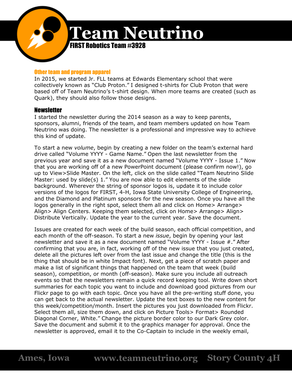

#### Other team and program apparel

In 2015, we started Jr. FLL teams at Edwards Elementary school that were collectively known as "Club Proton." I designed t-shirts for Club Proton that were based off of Team Neutrino's t-shirt design. When more teams are created (such as Quark), they should also follow those designs.

### **Newsletter**

I started the newsletter during the 2014 season as a way to keep parents, sponsors, alumni, friends of the team, and team members updated on how Team Neutrino was doing. The newsletter is a professional and impressive way to achieve this kind of update.

To start a new *volume*, begin by creating a new folder on the team's external hard drive called "Volume YYYY - Game Name." Open the last newsletter from the previous year and save it as a new document named "Volume YYYY - Issue 1." Now that you are working off of a new PowerPoint document (please confirm now!), go up to View>Slide Master. On the left, click on the slide called "Team Neutrino Slide Master: used by slide(s) 1." You are now able to edit elements of the slide background. Wherever the string of sponsor logos is, update it to include color versions of the logos for FIRST, 4-H, Iowa State University College of Engineering, and the Diamond and Platinum sponsors for the new season. Once you have all the logos generally in the right spot, select them all and click on Home> Arrange> Align> Align Centers. Keeping them selected, click on Home> Arrange> Align> Distribute Vertically. Update the year to the current year. Save the document.

Issues are created for each week of the build season, each official competition, and each month of the off-season. To start a new *issue*, begin by opening your last newsletter and save it as a new document named "Volume YYYY - Issue #." After confirming that you are, in fact, working off of the new issue that you just created, delete all the pictures left over from the last issue and change the title (this is the thing that should be in white Impact font). Next, get a piece of scratch paper and make a list of significant things that happened on the team that week (build season), competition, or month (off-season). Make sure you include all outreach events so that the newsletters remain a quick record keeping tool. Write down short summaries for each topic you want to include and download good pictures from our Flickr page to go with each topic. Once you have all the pre-writing stuff done, you can get back to the actual newsletter. Update the text boxes to the new content for this week/competition/month. Insert the pictures you just downloaded from Flickr. Select them all, size them down, and click on Picture Tools> Format> Rounded Diagonal Corner, White." Change the picture border color to our Dark Grey color. Save the document and submit it to the graphics manager for approval. Once the newsletter is approved, email it to the Co-Captain to include in the weekly email,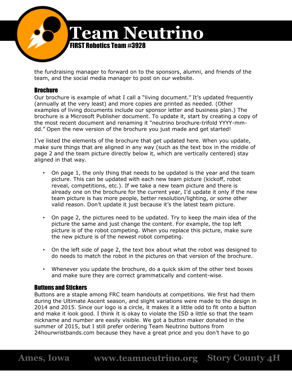

the fundraising manager to forward on to the sponsors, alumni, and friends of the team, and the social media manager to post on our website.

## Brochure

Our brochure is example of what I call a "living document." It's updated frequently (annually at the very least) and more copies are printed as needed. (Other examples of living documents include our sponsor letter and business plan.) The brochure is a Microsoft Publisher document. To update it, start by creating a copy of the most recent document and renaming it "neutrino brochure-trifold YYYY-mmdd." Open the new version of the brochure you just made and get started!

I've listed the elements of the brochure that get updated here. When you update, make sure things that are aligned in any way (such as the text box in the middle of page 2 and the team picture directly below it, which are vertically centered) stay aligned in that way.

- On page 1, the only thing that needs to be updated is the year and the team picture. This can be updated with each new team picture (kickoff, robot reveal, competitions, etc.). If we take a new team picture and there is already one on the brochure for the current year, I'd update it only if the new team picture is has more people, better resolution/lighting, or some other valid reason. Don't update it just because it's the latest team picture.
- On page 2, the pictures need to be updated. Try to keep the main idea of the picture the same and just change the content. For example, the top left picture is of the robot competing. When you replace this picture, make sure the new picture is of the newest robot competing.
- On the left side of page 2, the text box about what the robot was designed to do needs to match the robot in the pictures on that version of the brochure.
- Whenever you update the brochure, do a quick skim of the other text boxes and make sure they are correct grammatically and content-wise.

# Buttons and Stickers

Buttons are a staple among FRC team handouts at competitions. We first had them during the Ultimate Ascent season, and slight variations were made to the design in 2014 and 2015. Since our logo is a circle, it makes it a little odd to fit onto a button and make it look good. I think it is okay to violate the ISD a little so that the team nickname and number are easily visible. We got a button maker donated in the summer of 2015, but I still prefer ordering Team Neutrino buttons from 24hourwristbands.com because they have a great price and you don't have to go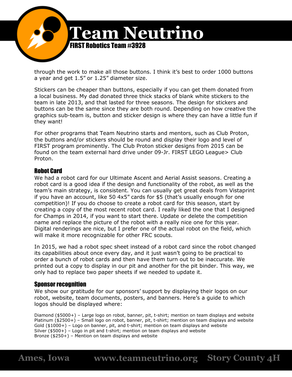

through the work to make all those buttons. I think it's best to order 1000 buttons a year and get 1.5" or 1.25" diameter size.

Stickers can be cheaper than buttons, especially if you can get them donated from a local business. My dad donated three thick stacks of blank white stickers to the team in late 2013, and that lasted for three seasons. The design for stickers and buttons can be the same since they are both round. Depending on how creative the graphics sub-team is, button and sticker design is where they can have a little fun if they want!

For other programs that Team Neutrino starts and mentors, such as Club Proton, the buttons and/or stickers should be round and display their logo and level of FIRST program prominently. The Club Proton sticker designs from 2015 can be found on the team external hard drive under 09-Jr. FIRST LEGO League> Club Proton.

# Robot Card

We had a robot card for our Ultimate Ascent and Aerial Assist seasons. Creating a robot card is a good idea if the design and functionality of the robot, as well as the team's main strategy, is consistent. You can usually get great deals from Vistaprint if you have an account, like 50 4x5" cards for \$5 (that's usually enough for one competition)! If you do choose to create a robot card for this season, start by creating a copy of the most recent robot card. I really liked the one that I designed for Champs in 2014, if you want to start there. Update or delete the competition name and replace the picture of the robot with a really nice one for this year. Digital renderings are nice, but I prefer one of the actual robot on the field, which will make it more recognizable for other FRC scouts.

In 2015, we had a robot spec sheet instead of a robot card since the robot changed its capabilities about once every day, and it just wasn't going to be practical to order a bunch of robot cards and then have them turn out to be inaccurate. We printed out a copy to display in our pit and another for the pit binder. This way, we only had to replace two paper sheets if we needed to update it.

# **Sponsor recognition**

We show our gratitude for our sponsors' support by displaying their logos on our robot, website, team documents, posters, and banners. Here's a guide to which logos should be displayed where:

Diamond (\$5000+) – Large logo on robot, banner, pit, t-shirt; mention on team displays and website Platinum (\$2500+) – Small logo on robot, banner, pit, t-shirt; mention on team displays and website Gold (\$1000+) – Logo on banner, pit, and t-shirt; mention on team displays and website Silver (\$500+) – Logo in pit and t-shirt; mention on team displays and website Bronze (\$250+) – Mention on team displays and website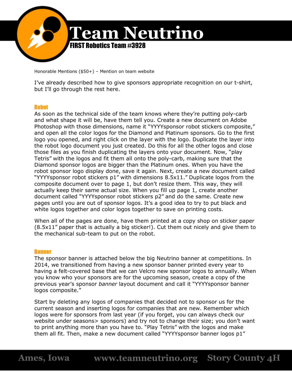

Honorable Mentions (\$50+) – Mention on team website

I've already described how to give sponsors appropriate recognition on our t-shirt, but I'll go through the rest here.

#### **Robot**

As soon as the technical side of the team knows where they're putting poly-carb and what shape it will be, have them tell you. Create a new document on Adobe Photoshop with those dimensions, name it "YYYYsponsor robot stickers composite," and open all the color logos for the Diamond and Platinum sponsors. Go to the first logo you opened, and right click on the layer with the logo. Duplicate the layer into the robot logo document you just created. Do this for all the other logos and close those files as you finish duplicating the layers onto your document. Now, "play Tetris" with the logos and fit them all onto the poly-carb, making sure that the Diamond sponsor logos are bigger than the Platinum ones. When you have the robot sponsor logo display done, save it again. Next, create a new document called "YYYYsponsor robot stickers p1" with dimensions 8.5x11." Duplicate logos from the composite document over to page 1, but don't resize them. This way, they will actually keep their same actual size. When you fill up page 1, create another document called "YYYYsponsor robot stickers p2" and do the same. Create new pages until you are out of sponsor logos. It's a good idea to try to put black and white logos together and color logos together to save on printing costs.

When all of the pages are done, have them printed at a copy shop on sticker paper (8.5x11" paper that is actually a big sticker!). Cut them out nicely and give them to the mechanical sub-team to put on the robot.

#### **Banner**

The sponsor banner is attached below the big Neutrino banner at competitions. In 2014, we transitioned from having a new sponsor banner printed every year to having a felt-covered base that we can Velcro new sponsor logos to annually. When you know who your sponsors are for the upcoming season, create a copy of the previous year's sponsor *banner* layout document and call it "YYYYsponsor banner logos composite."

Start by deleting any logos of companies that decided not to sponsor us for the current season and inserting logos for companies that are new. Remember which logos were for sponsors from last year (if you forget, you can always check our website under seasons> sponsors) and try not to change their size; you don't want to print anything more than you have to. "Play Tetris" with the logos and make them all fit. Then, make a new document called "YYYYsponsor banner logos p1"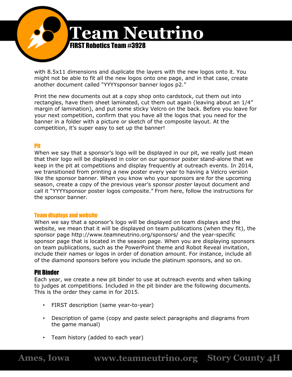![](_page_25_Picture_0.jpeg)

with 8.5x11 dimensions and duplicate the layers with the new logos onto it. You might not be able to fit all the new logos onto one page, and in that case, create another document called "YYYYsponsor banner logos p2."

Print the new documents out at a copy shop onto cardstock, cut them out into rectangles, have them sheet laminated, cut them out again (leaving about an 1/4" margin of lamination), and put some sticky Velcro on the back. Before you leave for your next competition, confirm that you have all the logos that you need for the banner in a folder with a picture or sketch of the composite layout. At the competition, it's super easy to set up the banner!

## Pit

When we say that a sponsor's logo will be displayed in our pit, we really just mean that their logo will be displayed in color on our sponsor poster stand-alone that we keep in the pit at competitions and display frequently at outreach events. In 2014, we transitioned from printing a new poster every year to having a Velcro version like the sponsor banner. When you know who your sponsors are for the upcoming season, create a copy of the previous year's sponsor *poster* layout document and call it "YYYYsponsor poster logos composite." From here, follow the instructions for the sponsor banner.

#### Team displays and website

When we say that a sponsor's logo will be displayed on team displays and the website, we mean that it will be displayed on team publications (when they fit), the sponsor page http://www.teamneutrino.org/sponsors/ and the year-specific sponsor page that is located in the season page. When you are displaying sponsors on team publications, such as the PowerPoint theme and Robot Reveal invitation, include their names or logos in order of donation amount. For instance, include all of the diamond sponsors before you include the platinum sponsors, and so on.

## Pit Binder

Each year, we create a new pit binder to use at outreach events and when talking to judges at competitions. Included in the pit binder are the following documents. This is the order they came in for 2015.

- FIRST description (same year-to-year)
- Description of game (copy and paste select paragraphs and diagrams from the game manual)
- Team history (added to each year)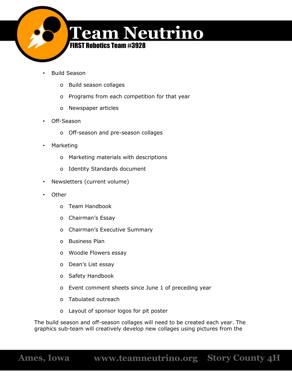![](_page_26_Picture_0.jpeg)

- Build Season
	- o Build season collages
	- o Programs from each competition for that year
	- o Newspaper articles
- Off-Season
	- o Off-season and pre-season collages
- Marketing
	- o Marketing materials with descriptions
	- o Identity Standards document
- Newsletters (current volume)
- Other
	- o Team Handbook
	- o Chairman's Essay
	- o Chairman's Executive Summary
	- o Business Plan
	- o Woodie Flowers essay
	- o Dean's List essay
	- o Safety Handbook
	- o Event comment sheets since June 1 of preceding year
	- o Tabulated outreach
	- o Layout of sponsor logos for pit poster

The build season and off-season collages will need to be created each year. The graphics sub-team will creatively develop new collages using pictures from the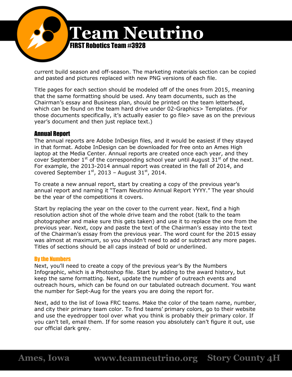![](_page_27_Picture_0.jpeg)

current build season and off-season. The marketing materials section can be copied and pasted and pictures replaced with new PNG versions of each file.

Title pages for each section should be modeled off of the ones from 2015, meaning that the same formatting should be used. Any team documents, such as the Chairman's essay and Business plan, should be printed on the team letterhead, which can be found on the team hard drive under 02-Graphics> Templates. (For those documents specifically, it's actually easier to go file> save as on the previous year's document and then just replace text.)

## Annual Report

The annual reports are Adobe InDesign files, and it would be easiest if they stayed in that format. Adobe InDesign can be downloaded for free onto an Ames High laptop at the Media Center. Annual reports are created once each year, and they cover September  $1^{\text{st}}$  of the corresponding school year until August  $31^{\text{st}}$  of the next. For example, the 2013-2014 annual report was created in the fall of 2014, and covered September  $1^\text{st}$ , 2013 - August 31 $^\text{st}$ , 2014.

To create a new annual report, start by creating a copy of the previous year's annual report and naming it "Team Neutrino Annual Report YYYY." The year should be the year of the competitions it covers.

Start by replacing the year on the cover to the current year. Next, find a high resolution action shot of the whole drive team and the robot (talk to the team photographer and make sure this gets taken) and use it to replace the one from the previous year. Next, copy and paste the text of the Chairman's essay into the text of the Chairman's essay from the previous year. The word count for the 2015 essay was almost at maximum, so you shouldn't need to add or subtract any more pages. Titles of sections should be all caps instead of bold or underlined.

#### By the Numbers

Next, you'll need to create a copy of the previous year's By the Numbers Infographic, which is a Photoshop file. Start by adding to the award history, but keep the same formatting. Next, update the number of outreach events and outreach hours, which can be found on our tabulated outreach document. You want the number for Sept-Aug for the years you are doing the report for.

Next, add to the list of Iowa FRC teams. Make the color of the team name, number, and city their primary team color. To find teams' primary colors, go to their website and use the eyedropper tool over what you think is probably their primary color. If you can't tell, email them. If for some reason you absolutely can't figure it out, use our official dark grey.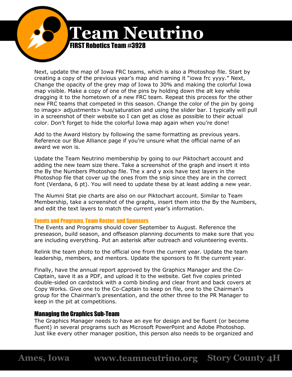![](_page_28_Picture_0.jpeg)

Next, update the map of Iowa FRC teams, which is also a Photoshop file. Start by creating a copy of the previous year's map and naming it "iowa frc yyyy." Next, Change the opacity of the grey map of Iowa to 30% and making the colorful Iowa map visible. Make a copy of one of the pins by holding down the alt key while dragging it to the hometown of a new FRC team. Repeat this process for the other new FRC teams that competed in this season. Change the color of the pin by going to image> adjustments> hue/saturation and using the slider bar. I typically will pull in a screenshot of their website so I can get as close as possible to their actual color. Don't forget to hide the colorful Iowa map again when you're done!

Add to the Award History by following the same formatting as previous years. Reference our Blue Alliance page if you're unsure what the official name of an award we won is.

Update the Team Neutrino membership by going to our Piktochart account and adding the new team size there. Take a screenshot of the graph and insert it into the By the Numbers Photoshop file. The x and y axis have text layers in the Photoshop file that cover up the ones from the snip since they are in the correct font (Verdana, 6 pt). You will need to update these by at least adding a new year.

The Alumni Stat pie charts are also on our Piktochart account. Similar to Team Membership, take a screenshot of the graphs, insert them into the By the Numbers, and edit the text layers to match the current year's information.

#### Events and Programs, Team Roster, and Sponsors

The Events and Programs should cover September to August. Reference the preseason, build season, and offseason planning documents to make sure that you are including everything. Put an asterisk after outreach and volunteering events.

Relink the team photo to the official one from the current year. Update the team leadership, members, and mentors. Update the sponsors to fit the current year.

Finally, have the annual report approved by the Graphics Manager and the Co-Captain, save it as a PDF, and upload it to the website. Get five copies printed double-sided on cardstock with a comb binding and clear front and back covers at Copy Works. Give one to the Co-Captain to keep on file, one to the Chairman's group for the Chairman's presentation, and the other three to the PR Manager to keep in the pit at competitions.

#### Managing the Graphics Sub-Team

The Graphics Manager needs to have an eye for design and be fluent (or become fluent) in several programs such as Microsoft PowerPoint and Adobe Photoshop. Just like every other manager position, this person also needs to be organized and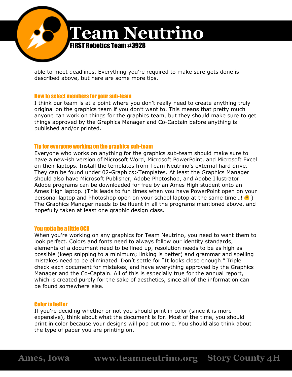![](_page_29_Picture_0.jpeg)

able to meet deadlines. Everything you're required to make sure gets done is described above, but here are some more tips.

#### How to select members for your sub-team

I think our team is at a point where you don't really need to create anything truly original on the graphics team if you don't want to. This means that pretty much anyone can work on things for the graphics team, but they should make sure to get things approved by the Graphics Manager and Co-Captain before anything is published and/or printed.

#### Tip for everyone working on the graphics sub-team

Everyone who works on anything for the graphics sub-team should make sure to have a new-ish version of Microsoft Word, Microsoft PowerPoint, and Microsoft Excel on their laptops. Install the templates from Team Neutrino's external hard drive. They can be found under 02-Graphics>Templates. At least the Graphics Manager should also have Microsoft Publisher, Adobe Photoshop, and Adobe Illustrator. Adobe programs can be downloaded for free by an Ames High student onto an Ames High laptop. (This leads to fun times when you have PowerPoint open on your personal laptop and Photoshop open on your school laptop at the same time...! The Graphics Manager needs to be fluent in all the programs mentioned above, and hopefully taken at least one graphic design class.

#### You gotta be a little OCD

When you're working on any graphics for Team Neutrino, you need to want them to look perfect. Colors and fonts need to always follow our identity standards, elements of a document need to be lined up, resolution needs to be as high as possible (keep snipping to a minimum; linking is better) and grammar and spelling mistakes need to be eliminated. Don't settle for "It looks close enough." Triple check each document for mistakes, and have everything approved by the Graphics Manager and the Co-Captain. All of this is especially true for the annual report, which is created purely for the sake of aesthetics, since all of the information can be found somewhere else.

#### Color is better

If you're deciding whether or not you should print in color (since it is more expensive), think about what the document is for. Most of the time, you should print in color because your designs will pop out more. You should also think about the type of paper you are printing on.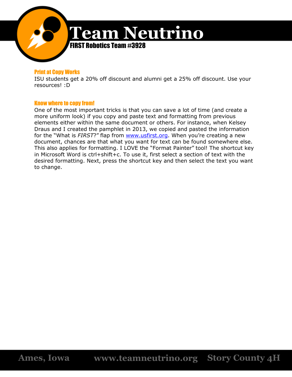![](_page_30_Picture_0.jpeg)

#### Print at Copy Works

ISU students get a 20% off discount and alumni get a 25% off discount. Use your resources! :D

#### Know where to copy from!

One of the most important tricks is that you can save a lot of time (and create a more uniform look) if you copy and paste text and formatting from previous elements either within the same document or others. For instance, when Kelsey Draus and I created the pamphlet in 2013, we copied and pasted the information for the "What is FIRST?" flap from **www.usfirst.org**. When you're creating a new document, chances are that what you want for text can be found somewhere else. This also applies for formatting. I LOVE the "Format Painter" tool! The shortcut key in Microsoft Word is ctrl+shift+c. To use it, first select a section of text with the desired formatting. Next, press the shortcut key and then select the text you want to change.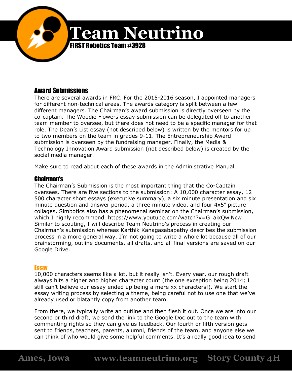![](_page_31_Picture_0.jpeg)

# Award Submissions

There are several awards in FRC. For the 2015-2016 season, I appointed managers for different non-technical areas. The awards category is split between a few different managers. The Chairman's award submission is directly overseen by the co-captain. The Woodie Flowers essay submission can be delegated off to another team member to oversee, but there does not need to be a specific manager for that role. The Dean's List essay (not described below) is written by the mentors for up to two members on the team in grades 9-11. The Entrepreneurship Award submission is overseen by the fundraising manager. Finally, the Media & Technology Innovation Award submission (not described below) is created by the social media manager.

Make sure to read about each of these awards in the Administrative Manual.

## Chairman's

The Chairman's Submission is the most important thing that the Co-Captain oversees. There are five sections to the submission: A 10,000 character essay, 12 500 character short essays (executive summary), a six minute presentation and six minute question and answer period, a three minute video, and four 4x5" picture collages. Simbotics also has a phenomenal seminar on the Chairman's submission, which I highly recommend. [https://www.youtube.com/watch?v=G\\_aixQwlNcw](https://www.youtube.com/watch?v=G_aixQwlNcw) Similar to scouting, I will describe Team Neutrino's process in creating our Chairman's submission whereas Karthik Kanagasabapathy describes the submission process in a more general way. I'm not going to write a whole lot because all of our brainstorming, outline documents, all drafts, and all final versions are saved on our Google Drive.

## **Essay**

10,000 characters seems like a lot, but it really isn't. Every year, our rough draft always hits a higher and higher character count (the one exception being 2014; I still can't believe our essay ended up being a mere xx characters!). We start the essay writing process by selecting a theme, being careful not to use one that we've already used or blatantly copy from another team.

From there, we typically write an outline and then flesh it out. Once we are into our second or third draft, we send the link to the Google Doc out to the team with commenting rights so they can give us feedback. Our fourth or fifth version gets sent to friends, teachers, parents, alumni, friends of the team, and anyone else we can think of who would give some helpful comments. It's a really good idea to send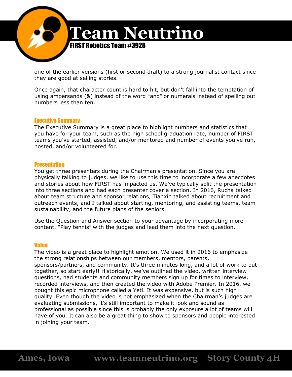![](_page_32_Picture_0.jpeg)

one of the earlier versions (first or second draft) to a strong journalist contact since they are good at selling stories.

Once again, that character count is hard to hit, but don't fall into the temptation of using ampersands (&) instead of the word "and" or numerals instead of spelling out numbers less than ten.

#### Executive Summary

The Executive Summary is a great place to highlight numbers and statistics that you have for your team, such as the high school graduation rate, number of FIRST teams you've started, assisted, and/or mentored and number of events you've run, hosted, and/or volunteered for.

#### **Presentation**

You get three presenters during the Chairman's presentation. Since you are physically talking to judges, we like to use this time to incorporate a few anecdotes and stories about how FIRST has impacted us. We've typically split the presentation into three sections and had each presenter cover a section. In 2016, Rucha talked about team structure and sponsor relations, Tianxin talked about recruitment and outreach events, and I talked about starting, mentoring, and assisting teams, team sustainability, and the future plans of the seniors.

Use the Question and Answer section to your advantage by incorporating more content. "Play tennis" with the judges and lead them into the next question.

#### Video

The video is a great place to highlight emotion. We used it in 2016 to emphasize the strong relationships between our members, mentors, parents, sponsors/partners, and community. It's three minutes long, and a lot of work to put together, so start early!! Historically, we've outlined the video, written interview questions, had students and community members sign up for times to interview, recorded interviews, and then created the video with Adobe Premier. In 2016, we bought this epic microphone called a Yeti. It was expensive, but is such high quality! Even though the video is not emphasized when the Chairman's judges are evaluating submissions, it's still important to make it look and sound as professional as possible since this is probably the only exposure a lot of teams will have of you. It can also be a great thing to show to sponsors and people interested in joining your team.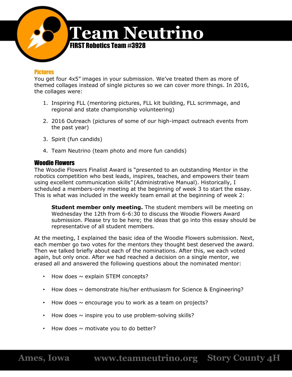![](_page_33_Picture_0.jpeg)

#### **Pictures**

You get four 4x5" images in your submission. We've treated them as more of themed collages instead of single pictures so we can cover more things. In 2016, the collages were:

- 1. Inspiring FLL (mentoring pictures, FLL kit building, FLL scrimmage, and regional and state championship volunteering)
- 2. 2016 Outreach (pictures of some of our high-impact outreach events from the past year)
- 3. Spirit (fun candids)
- 4. Team Neutrino (team photo and more fun candids)

## Woodie Flowers

The Woodie Flowers Finalist Award is "presented to an outstanding Mentor in the robotics competition who best leads, inspires, teaches, and empowers their team using excellent communication skills" (Administrative Manual). Historically, I scheduled a members-only meeting at the beginning of week 3 to start the essay. This is what was included in the weekly team email at the beginning of week 2:

**Student member only meeting.** The student members will be meeting on Wednesday the 12th from 6-6:30 to discuss the Woodie Flowers Award submission. Please try to be here; the ideas that go into this essay should be representative of all student members.

At the meeting, I explained the basic idea of the Woodie Flowers submission. Next, each member go two votes for the mentors they thought best deserved the award. Then we talked briefly about each of the nominations. After this, we each voted again, but only once. After we had reached a decision on a single mentor, we erased all and answered the following questions about the nominated mentor:

- How does  $\sim$  explain STEM concepts?
- How does  $\sim$  demonstrate his/her enthusiasm for Science & Engineering?
- How does  $\sim$  encourage you to work as a team on projects?
- How does  $\sim$  inspire you to use problem-solving skills?
- How does  $\sim$  motivate you to do better?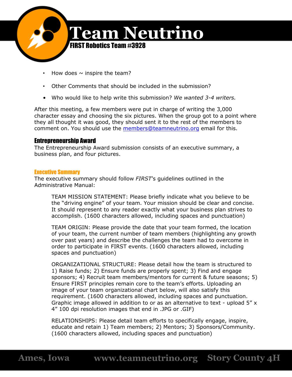![](_page_34_Picture_0.jpeg)

- How does  $\sim$  inspire the team?
- Other Comments that should be included in the submission?
- Who would like to help write this submission? *We wanted 3-4 writers.*

After this meeting, a few members were put in charge of writing the 3,000 character essay and choosing the six pictures. When the group got to a point where they all thought it was good, they should sent it to the rest of the members to comment on. You should use the [members@teamneutrino.org](mailto:members@teamneutrino.org) email for this.

## Entrepreneurship Award

The Entrepreneurship Award submission consists of an executive summary, a business plan, and four pictures.

#### Executive Summary

The executive summary should follow *FIRST*'s guidelines outlined in the Administrative Manual:

TEAM MISSION STATEMENT: Please briefly indicate what you believe to be the "driving engine" of your team. Your mission should be clear and concise. It should represent to any reader exactly what your business plan strives to accomplish. (1600 characters allowed, including spaces and punctuation)

TEAM ORIGIN: Please provide the date that your team formed, the location of your team, the current number of team members (highlighting any growth over past years) and describe the challenges the team had to overcome in order to participate in FIRST events. (1600 characters allowed, including spaces and punctuation)

ORGANIZATIONAL STRUCTURE: Please detail how the team is structured to 1) Raise funds; 2) Ensure funds are properly spent; 3) Find and engage sponsors; 4) Recruit team members/mentors for current & future seasons; 5) Ensure FIRST principles remain core to the team's efforts. Uploading an image of your team organizational chart below, will also satisfy this requirement. (1600 characters allowed, including spaces and punctuation. Graphic image allowed in addition to or as an alternative to text - upload 5" x 4" 100 dpi resolution images that end in .JPG or .GIF)

RELATIONSHIPS: Please detail team efforts to specifically engage, inspire, educate and retain 1) Team members; 2) Mentors; 3) Sponsors/Community. (1600 characters allowed, including spaces and punctuation)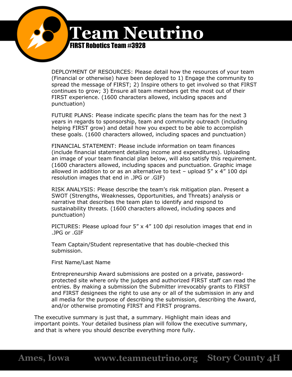![](_page_35_Picture_0.jpeg)

DEPLOYMENT OF RESOURCES: Please detail how the resources of your team (Financial or otherwise) have been deployed to 1) Engage the community to spread the message of FIRST; 2) Inspire others to get involved so that FIRST continues to grow; 3) Ensure all team members get the most out of their FIRST experience. (1600 characters allowed, including spaces and punctuation)

FUTURE PLANS: Please indicate specific plans the team has for the next 3 years in regards to sponsorship, team and community outreach (including helping FIRST grow) and detail how you expect to be able to accomplish these goals. (1600 characters allowed, including spaces and punctuation)

FINANCIAL STATEMENT: Please include information on team finances (include financial statement detailing income and expenditures). Uploading an image of your team financial plan below, will also satisfy this requirement. (1600 characters allowed, including spaces and punctuation. Graphic image allowed in addition to or as an alternative to text - upload  $5'' \times 4''$  100 dpi resolution images that end in .JPG or .GIF)

RISK ANALYSIS: Please describe the team's risk mitigation plan. Present a SWOT (Strengths, Weaknesses, Opportunities, and Threats) analysis or narrative that describes the team plan to identify and respond to sustainability threats. (1600 characters allowed, including spaces and punctuation)

PICTURES: Please upload four 5" x 4" 100 dpi resolution images that end in .JPG or .GIF

Team Captain/Student representative that has double-checked this submission.

First Name/Last Name

Entrepreneurship Award submissions are posted on a private, passwordprotected site where only the judges and authorized FIRST staff can read the entries. By making a submission the Submitter irrevocably grants to FIRST and FIRST designees the right to use any or all of the submission in any and all media for the purpose of describing the submission, describing the Award, and/or otherwise promoting FIRST and FIRST programs.

The executive summary is just that, a summary. Highlight main ideas and important points. Your detailed business plan will follow the executive summary, and that is where you should describe everything more fully.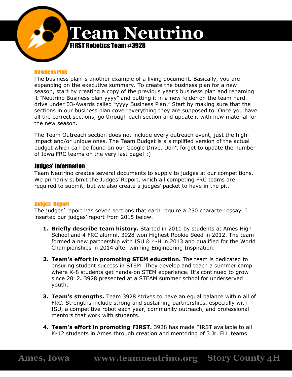![](_page_36_Picture_0.jpeg)

#### Business Plan

The business plan is another example of a living document. Basically, you are expanding on the executive summary. To create the business plan for a new season, start by creating a copy of the previous year's business plan and renaming it "Neutrino Business plan yyyy" and putting it in a new folder on the team hard drive under 03-Awards called "yyyy Business Plan." Start by making sure that the sections in our business plan cover everything they are supposed to. Once you have all the correct sections, go through each section and update it with new material for the new season.

The Team Outreach section does not include every outreach event, just the highimpact and/or unique ones. The Team Budget is a simplified version of the actual budget which can be found on our Google Drive. Don't forget to update the number of Iowa FRC teams on the very last page! ;)

### Judges' Information

Team Neutrino creates several documents to supply to judges at our competitions. We primarily submit the Judges' Report, which all competing FRC teams are required to submit, but we also create a judges' packet to have in the pit.

#### Judges' Report

The judges' report has seven sections that each require a 250 character essay. I inserted our judges' report from 2015 below.

- **1. Briefly describe team history.** Started in 2011 by students at Ames High School and 4 FRC alumni, 3928 won Highest Rookie Seed in 2012. The team formed a new partnership with ISU & 4-H in 2013 and qualified for the World Championships in 2014 after winning Engineering Inspiration.
- **2. Team's effort in promoting STEM education.** The team is dedicated to ensuring student success in STEM. They develop and teach a summer camp where K-8 students get hands-on STEM experience. It's continued to grow since 2012**.** 3928 presented at a STEAM summer school for underserved youth.
- **3. Team's strengths.** Team 3928 strives to have an equal balance within all of FRC. Strengths include strong and sustaining partnerships, especially with ISU, a competitive robot each year, community outreach, and professional mentors that work with students.
- **4. Team's effort in promoting FIRST.** 3928 has made FIRST available to all K-12 students in Ames through creation and mentoring of 3 Jr. FLL teams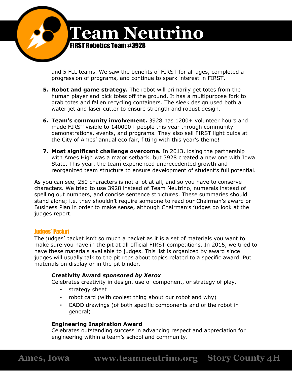![](_page_37_Picture_0.jpeg)

and 5 FLL teams. We saw the benefits of FIRST for all ages, completed a progression of programs, and continue to spark interest in FIRST.

- **5. Robot and game strategy.** The robot will primarily get totes from the human player and pick totes off the ground. It has a multipurpose fork to grab totes and fallen recycling containers. The sleek design used both a water jet and laser cutter to ensure strength and robust design.
- **6. Team's community involvement.** 3928 has 1200+ volunteer hours and made FIRST visible to 140000+ people this year through community demonstrations, events, and programs. They also sell FIRST light bulbs at the City of Ames' annual eco fair, fitting with this year's theme!
- **7. Most significant challenge overcome.** In 2013, losing the partnership with Ames High was a major setback, but 3928 created a new one with Iowa State. This year, the team experienced unprecedented growth and reorganized team structure to ensure development of student's full potential.

As you can see, 250 characters is not a lot at all, and so you have to conserve characters. We tried to use 3928 instead of Team Neutrino, numerals instead of spelling out numbers, and concise sentence structures. These summaries should stand alone; i.e. they shouldn't require someone to read our Chairman's award or Business Plan in order to make sense, although Chairman's judges do look at the judges report.

#### Judges' Packet

The judges' packet isn't so much a packet as it is a set of materials you want to make sure you have in the pit at all official FIRST competitions. In 2015, we tried to have these materials available to judges. This list is organized by award since judges will usually talk to the pit reps about topics related to a specific award. Put materials on display or in the pit binder.

## **Creativity Award** *sponsored by Xerox*

Celebrates creativity in design, use of component, or strategy of play.

- strategy sheet
- robot card (with coolest thing about our robot and why)
- CADD drawings (of both specific components and of the robot in general)

## **Engineering Inspiration Award**

Celebrates outstanding success in advancing respect and appreciation for engineering within a team's school and community.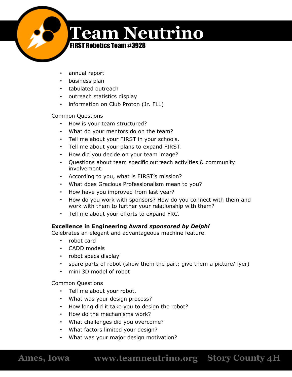![](_page_38_Picture_0.jpeg)

FIRST Robotics Team #3928

- annual report
- business plan
- tabulated outreach
- outreach statistics display
- information on Club Proton (Jr. FLL)

# Common Questions

- How is your team structured?
- What do your mentors do on the team?
- Tell me about your FIRST in your schools.
- Tell me about your plans to expand FIRST.
- How did you decide on your team image?
- Questions about team specific outreach activities & community involvement.
- According to you, what is FIRST's mission?
- What does Gracious Professionalism mean to you?
- How have you improved from last year?
- How do you work with sponsors? How do you connect with them and work with them to further your relationship with them?
- Tell me about your efforts to expand FRC.

# **Excellence in Engineering Award** *sponsored by Delphi*

Celebrates an elegant and advantageous machine feature.

- robot card
- CADD models
- robot specs display
- spare parts of robot (show them the part; give them a picture/flyer)
- mini 3D model of robot

Common Questions

- Tell me about your robot.
- What was your design process?
- How long did it take you to design the robot?
- How do the mechanisms work?
- What challenges did you overcome?
- What factors limited your design?
- What was your major design motivation?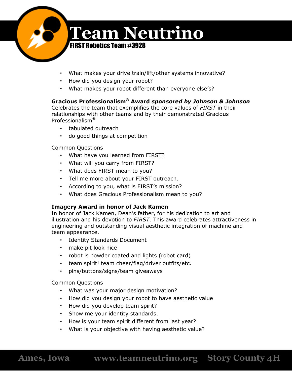![](_page_39_Picture_0.jpeg)

- What makes your drive train/lift/other systems innovative?
- How did you design your robot?
- What makes your robot different than everyone else's?

# **Gracious Professionalism® Award** *sponsored by Johnson & Johnson*

Celebrates the team that exemplifies the core values of *FIRST* in their relationships with other teams and by their demonstrated Gracious Professionalism®

- tabulated outreach
- do good things at competition

Common Questions

- What have you learned from FIRST?
- What will you carry from FIRST?
- What does FIRST mean to you?
- Tell me more about your FIRST outreach.
- According to you, what is FIRST's mission?
- What does Gracious Professionalism mean to you?

# **Imagery Award in honor of Jack Kamen**

In honor of Jack Kamen, Dean's father, for his dedication to art and illustration and his devotion to *FIRST*. This award celebrates attractiveness in engineering and outstanding visual aesthetic integration of machine and team appearance.

- Identity Standards Document
- make pit look nice
- robot is powder coated and lights (robot card)
- team spirit! team cheer/flag/driver outfits/etc.
- pins/buttons/signs/team giveaways

Common Questions

- What was your major design motivation?
- How did you design your robot to have aesthetic value
- How did you develop team spirit?
- Show me your identity standards.
- How is your team spirit different from last year?
- What is your objective with having aesthetic value?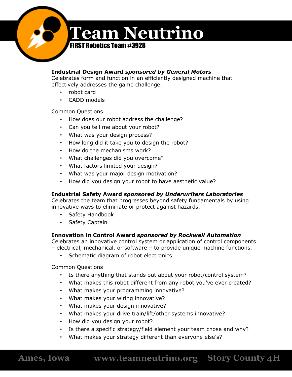![](_page_40_Picture_0.jpeg)

## **Industrial Design Award** *sponsored by General Motors*

Celebrates form and function in an efficiently designed machine that effectively addresses the game challenge.

- robot card
- CADD models

Common Questions

- How does our robot address the challenge?
- Can you tell me about your robot?
- What was your design process?
- How long did it take you to design the robot?
- How do the mechanisms work?
- What challenges did you overcome?
- What factors limited your design?
- What was your major design motivation?
- How did you design your robot to have aesthetic value?

# **Industrial Safety Award** *sponsored by Underwriters Laboratories*

Celebrates the team that progresses beyond safety fundamentals by using innovative ways to eliminate or protect against hazards.

- Safety Handbook
- Safety Captain

## **Innovation in Control Award** *sponsored by Rockwell Automation*

Celebrates an innovative control system or application of control components – electrical, mechanical, or software – to provide unique machine functions.

• Schematic diagram of robot electronics

Common Questions

- Is there anything that stands out about your robot/control system?
- What makes this robot different from any robot you've ever created?
- What makes your programming innovative?
- What makes your wiring innovative?
- What makes your design innovative?
- What makes your drive train/lift/other systems innovative?
- How did you design your robot?
- Is there a specific strategy/field element your team chose and why?
- What makes your strategy different than everyone else's?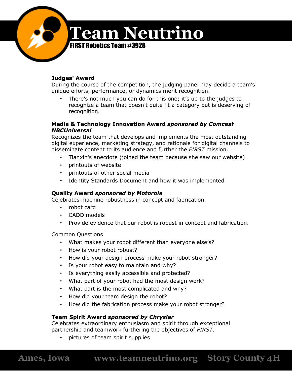![](_page_41_Picture_0.jpeg)

## **Judges' Award**

During the course of the competition, the judging panel may decide a team's unique efforts, performance, or dynamics merit recognition.

There's not much you can do for this one; it's up to the judges to recognize a team that doesn't quite fit a category but is deserving of recognition.

### **Media & Technology Innovation Award** *sponsored by Comcast NBCUniversal*

Recognizes the team that develops and implements the most outstanding digital experience, marketing strategy, and rationale for digital channels to disseminate content to its audience and further the *FIRST* mission.

- Tianxin's anecdote (joined the team because she saw our website)
- printouts of website
- printouts of other social media
- Identity Standards Document and how it was implemented

## **Quality Award** *sponsored by Motorola*

Celebrates machine robustness in concept and fabrication.

- robot card
- CADD models
- Provide evidence that our robot is robust in concept and fabrication.

Common Questions

- What makes your robot different than everyone else's?
- How is your robot robust?
- How did your design process make your robot stronger?
- Is your robot easy to maintain and why?
- Is everything easily accessible and protected?
- What part of your robot had the most design work?
- What part is the most complicated and why?
- How did your team design the robot?
- How did the fabrication process make your robot stronger?

## **Team Spirit Award** *sponsored by Chrysler*

Celebrates extraordinary enthusiasm and spirit through exceptional partnership and teamwork furthering the objectives of *FIRST*.

• pictures of team spirit supplies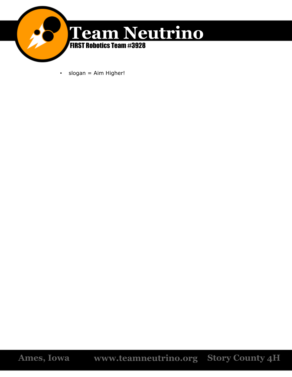![](_page_42_Picture_0.jpeg)

• slogan = Aim Higher!

**Ames, Iowa www.teamneutrino.org Story County 4H**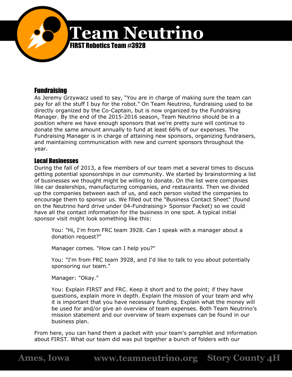![](_page_43_Picture_0.jpeg)

# Fundraising

As Jeremy Grzywacz used to say, "You are in charge of making sure the team can pay for all the stuff I buy for the robot." On Team Neutrino, fundraising used to be directly organized by the Co-Captain, but is now organized by the Fundraising Manager. By the end of the 2015-2016 season, Team Neutrino should be in a position where we have enough sponsors that we're pretty sure will continue to donate the same amount annually to fund at least 66% of our expenses. The Fundraising Manager is in charge of attaining new sponsors, organizing fundraisers, and maintaining communication with new and current sponsors throughout the year.

# Local Businesses

During the fall of 2013, a few members of our team met a several times to discuss getting potential sponsorships in our community. We started by brainstorming a list of businesses we thought might be willing to donate. On the list were companies like car dealerships, manufacturing companies, and restaurants. Then we divided up the companies between each of us, and each person visited the companies to encourage them to sponsor us. We filled out the "Business Contact Sheet" (found on the Neutrino hard drive under 04-Fundraising> Sponsor Packet) so we could have all the contact information for the business in one spot. A typical initial sponsor visit might look something like this:

You: "Hi, I'm from FRC team 3928. Can I speak with a manager about a donation request?"

Manager comes. "How can I help you?"

You: "I'm from FRC team 3928, and I'd like to talk to you about potentially sponsoring our team."

Manager: "Okay."

You: Explain FIRST and FRC. Keep it short and to the point; if they have questions, explain more in depth. Explain the mission of your team and why it is important that you have necessary funding. Explain what the money will be used for and/or give an overview of team expenses. Both Team Neutrino's mission statement and our overview of team expenses can be found in our business plan.

From here, you can hand them a packet with your team's pamphlet and information about FIRST. What our team did was put together a bunch of folders with our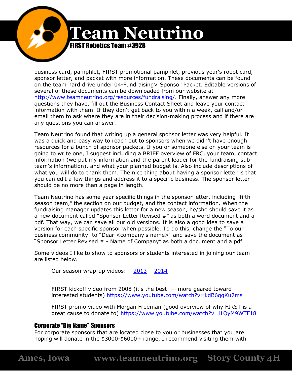**Team Neutrino** FIRST Robotics Team #3928

> business card, pamphlet, FIRST promotional pamphlet, previous year's robot card, sponsor letter, and packet with more information. These documents can be found on the team hard drive under 04-Fundraising> Sponsor Packet. Editable versions of several of these documents can be downloaded from our website at [http://www.teamneutrino.org/resources/fundraising/.](http://www.teamneutrino.org/resources/fundraising/) Finally, answer any more questions they have, fill out the Business Contact Sheet and leave your contact information with them. If they don't get back to you within a week, call and/or email them to ask where they are in their decision-making process and if there are any questions you can answer.

> Team Neutrino found that writing up a general sponsor letter was very helpful. It was a quick and easy way to reach out to sponsors when we didn't have enough resources for a bunch of sponsor packets. If you or someone else on your team is going to write one, I suggest including a BRIEF overview of FRC, your team, contact information (we put my information and the parent leader for the fundraising subteam's information), and what your planned budget is. Also include descriptions of what you will do to thank them. The nice thing about having a sponsor letter is that you can edit a few things and address it to a specific business. The sponsor letter should be no more than a page in length.

Team Neutrino has some year specific things in the sponsor letter, including "fifth season team," the section on our budget, and the contact information. When the fundraising manager updates this letter for a new season, he/she should save it as a new document called "Sponsor Letter Revised #" as both a word document and a pdf. That way, we can save all our old versions. It is also a good idea to save a version for each specific sponsor when possible. To do this, change the "To our business community" to "Dear <company's name>" and save the document as "Sponsor Letter Revised # - Name of Company" as both a document and a pdf.

Some videos I like to show to sponsors or students interested in joining our team are listed below.

Our season wrap-up videos: [2013](https://www.youtube.com/watch?v=Fc7EDIbYSQQ) [2014](https://www.youtube.com/watch?v=7dWhqyeuiWs)

FIRST kickoff video from 2008 (it's the best! — more geared toward interested students) <https://www.youtube.com/watch?v=kdB6qqKu7ms>

FIRST promo video with Morgan Freeman (good overview of why FIRST is a great cause to donate to) <https://www.youtube.com/watch?v=i1QyM9WTF18>

## Corporate "Big Name" Sponsors

For corporate sponsors that are located close to you or businesses that you are hoping will donate in the \$3000-\$6000+ range, I recommend visiting them with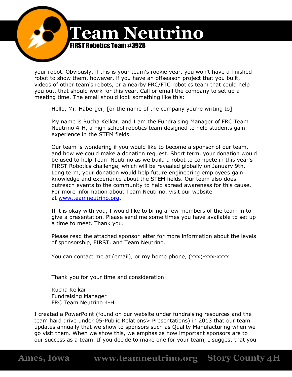![](_page_45_Picture_0.jpeg)

your robot. Obviously, if this is your team's rookie year, you won't have a finished robot to show them, however, if you have an offseason project that you built, videos of other team's robots, or a nearby FRC/FTC robotics team that could help you out, that should work for this year. Call or email the company to set up a meeting time. The email should look something like this:

Hello, Mr. Haberger, [or the name of the company you're writing to]

My name is Rucha Kelkar, and I am the Fundraising Manager of FRC Team Neutrino 4-H, a high school robotics team designed to help students gain experience in the STEM fields.

Our team is wondering if you would like to become a sponsor of our team, and how we could make a donation request. Short term, your donation would be used to help Team Neutrino as we build a robot to compete in this year's FIRST Robotics challenge, which will be revealed globally on January 9th. Long term, your donation would help future engineering employees gain knowledge and experience about the STEM fields. Our team also does outreach events to the community to help spread awareness for this cause. For more information about Team Neutrino, visit our website at [www.teamneutrino.org.](http://www.teamneutrino.org/)

If it is okay with you, I would like to bring a few members of the team in to give a presentation. Please send me some times you have available to set up a time to meet. Thank you.

Please read the attached sponsor letter for more information about the levels of sponsorship, FIRST, and Team Neutrino.

You can contact me at (email), or my home phone, (xxx)-xxx-xxxx.

Thank you for your time and consideration!

Rucha Kelkar Fundraising Manager FRC Team Neutrino 4-H

I created a PowerPoint (found on our website under fundraising resources and the team hard drive under 05-Public Relations> Presentations) in 2013 that our team updates annually that we show to sponsors such as Quality Manufacturing when we go visit them. When we show this, we emphasize how important sponsors are to our success as a team. If you decide to make one for your team, I suggest that you

**Ames, Iowa www.teamneutrino.org Story County 4H**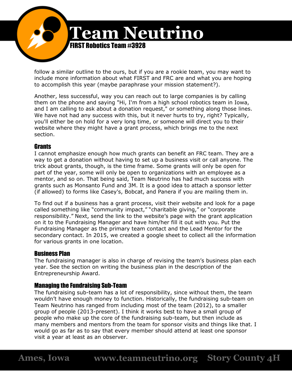![](_page_46_Picture_0.jpeg)

follow a similar outline to the ours, but if you are a rookie team, you may want to include more information about what FIRST and FRC are and what you are hoping to accomplish this year (maybe paraphrase your mission statement?).

Another, less successful, way you can reach out to large companies is by calling them on the phone and saying "Hi, I'm from a high school robotics team in Iowa, and I am calling to ask about a donation request," or something along those lines. We have not had any success with this, but it never hurts to try, right? Typically, you'll either be on hold for a very long time, or someone will direct you to their website where they might have a grant process, which brings me to the next section.

## **Grants**

I cannot emphasize enough how much grants can benefit an FRC team. They are a way to get a donation without having to set up a business visit or call anyone. The trick about grants, though, is the time frame. Some grants will only be open for part of the year, some will only be open to organizations with an employee as a mentor, and so on. That being said, Team Neutrino has had much success with grants such as Monsanto Fund and 3M. It is a good idea to attach a sponsor letter (if allowed) to forms like Casey's, Bobcat, and Panera if you are mailing them in.

To find out if a business has a grant process, visit their website and look for a page called something like "community impact," "charitable giving," or "corporate responsibility." Next, send the link to the website's page with the grant application on it to the Fundraising Manager and have him/her fill it out with you. Put the Fundraising Manager as the primary team contact and the Lead Mentor for the secondary contact. In 2015, we created a google sheet to collect all the information for various grants in one location.

# Business Plan

The fundraising manager is also in charge of revising the team's business plan each year. See the section on writing the business plan in the description of the Entrepreneurship Award.

# Managing the Fundraising Sub-Team

The fundraising sub-team has a lot of responsibility, since without them, the team wouldn't have enough money to function. Historically, the fundraising sub-team on Team Neutrino has ranged from including most of the team (2012), to a smaller group of people (2013-present). I think it works best to have a small group of people who make up the core of the fundraising sub-team, but then include as many members and mentors from the team for sponsor visits and things like that. I would go as far as to say that every member should attend at least one sponsor visit a year at least as an observer.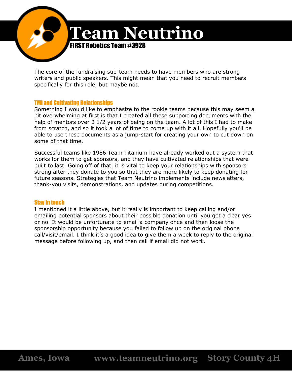![](_page_47_Picture_0.jpeg)

The core of the fundraising sub-team needs to have members who are strong writers and public speakers. This might mean that you need to recruit members specifically for this role, but maybe not.

#### TMI and Cultivating Relationships

Something I would like to emphasize to the rookie teams because this may seem a bit overwhelming at first is that I created all these supporting documents with the help of mentors over 2 1/2 years of being on the team. A lot of this I had to make from scratch, and so it took a lot of time to come up with it all. Hopefully you'll be able to use these documents as a jump-start for creating your own to cut down on some of that time.

Successful teams like 1986 Team Titanium have already worked out a system that works for them to get sponsors, and they have cultivated relationships that were built to last. Going off of that, it is vital to keep your relationships with sponsors strong after they donate to you so that they are more likely to keep donating for future seasons. Strategies that Team Neutrino implements include newsletters, thank-you visits, demonstrations, and updates during competitions.

#### Stay in touch

I mentioned it a little above, but it really is important to keep calling and/or emailing potential sponsors about their possible donation until you get a clear yes or no. It would be unfortunate to email a company once and then loose the sponsorship opportunity because you failed to follow up on the original phone call/visit/email. I think it's a good idea to give them a week to reply to the original message before following up, and then call if email did not work.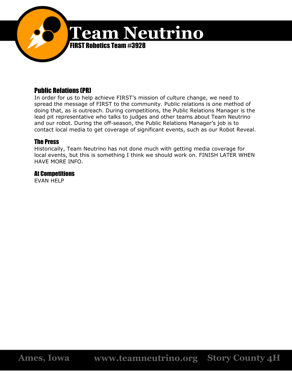![](_page_48_Picture_0.jpeg)

# Public Relations (PR)

In order for us to help achieve FIRST's mission of culture change, we need to spread the message of FIRST to the community. Public relations is one method of doing that, as is outreach. During competitions, the Public Relations Manager is the lead pit representative who talks to judges and other teams about Team Neutrino and our robot. During the off-season, the Public Relations Manager's job is to contact local media to get coverage of significant events, such as our Robot Reveal.

## The Press

Historically, Team Neutrino has not done much with getting media coverage for local events, but this is something I think we should work on. FINISH LATER WHEN HAVE MORE INFO.

## At Competitions

EVAN HELP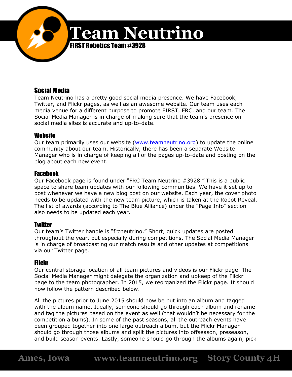![](_page_49_Picture_0.jpeg)

# Social Media

Team Neutrino has a pretty good social media presence. We have Facebook, Twitter, and Flickr pages, as well as an awesome website. Our team uses each media venue for a different purpose to promote FIRST, FRC, and our team. The Social Media Manager is in charge of making sure that the team's presence on social media sites is accurate and up-to-date.

# **Website**

Our team primarily uses our website [\(www.teamneutrino.org\)](http://www.teamneutrino.org/) to update the online community about our team. Historically, there has been a separate Website Manager who is in charge of keeping all of the pages up-to-date and posting on the blog about each new event.

## Facebook

Our Facebook page is found under "FRC Team Neutrino #3928." This is a public space to share team updates with our following communities. We have it set up to post whenever we have a new blog post on our website. Each year, the cover photo needs to be updated with the new team picture, which is taken at the Robot Reveal. The list of awards (according to The Blue Alliance) under the "Page Info" section also needs to be updated each year.

# **Twitter**

Our team's Twitter handle is "frcneutrino." Short, quick updates are posted throughout the year, but especially during competitions. The Social Media Manager is in charge of broadcasting our match results and other updates at competitions via our Twitter page.

# **Flickr**

Our central storage location of all team pictures and videos is our Flickr page. The Social Media Manager might delegate the organization and upkeep of the Flickr page to the team photographer. In 2015, we reorganized the Flickr page. It should now follow the pattern described below.

All the pictures prior to June 2015 should now be put into an album and tagged with the album name. Ideally, someone should go through each album and rename and tag the pictures based on the event as well (that wouldn't be necessary for the competition albums). In some of the past seasons, all the outreach events have been grouped together into one large outreach album, but the Flickr Manager should go through those albums and split the pictures into offseason, preseason, and build season events. Lastly, someone should go through the albums again, pick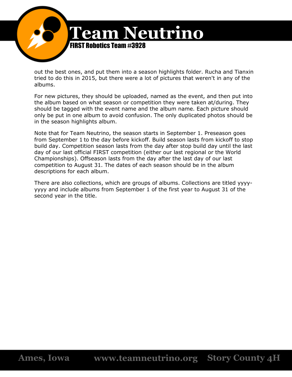![](_page_50_Picture_0.jpeg)

out the best ones, and put them into a season highlights folder. Rucha and Tianxin tried to do this in 2015, but there were a lot of pictures that weren't in any of the albums.

For new pictures, they should be uploaded, named as the event, and then put into the album based on what season or competition they were taken at/during. They should be tagged with the event name and the album name. Each picture should only be put in one album to avoid confusion. The only duplicated photos should be in the season highlights album.

Note that for Team Neutrino, the season starts in September 1. Preseason goes from September 1 to the day before kickoff. Build season lasts from kickoff to stop build day. Competition season lasts from the day after stop build day until the last day of our last official FIRST competition (either our last regional or the World Championships). Offseason lasts from the day after the last day of our last competition to August 31. The dates of each season should be in the album descriptions for each album.

There are also collections, which are groups of albums. Collections are titled yyyyyyyy and include albums from September 1 of the first year to August 31 of the second year in the title.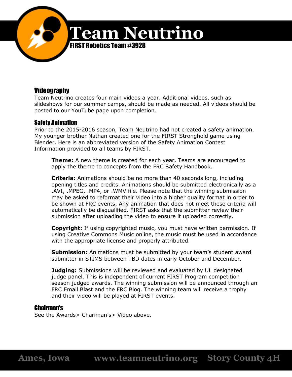![](_page_51_Picture_0.jpeg)

# Videography

Team Neutrino creates four main videos a year. Additional videos, such as slideshows for our summer camps, should be made as needed. All videos should be posted to our YouTube page upon completion.

## Safety Animation

Prior to the 2015-2016 season, Team Neutrino had not created a safety animation. My younger brother Nathan created one for the FIRST Stronghold game using Blender. Here is an abbreviated version of the Safety Animation Contest Information provided to all teams by FIRST.

**Theme:** A new theme is created for each year. Teams are encouraged to apply the theme to concepts from the FRC Safety Handbook.

**Criteria:** Animations should be no more than 40 seconds long, including opening titles and credits. Animations should be submitted electronically as a .AVI, .MPEG, .MP4, or .WMV file. Please note that the winning submission may be asked to reformat their video into a higher quality format in order to be shown at FRC events. Any animation that does not meet these criteria will automatically be disqualified. FIRST asks that the submitter review their submission after uploading the video to ensure it uploaded correctly.

**Copyright:** If using copyrighted music, you must have written permission. If using Creative Commons Music online, the music must be used in accordance with the appropriate license and properly attributed.

**Submission:** Animations must be submitted by your team's student award submitter in STIMS between TBD dates in early October and December.

**Judging:** Submissions will be reviewed and evaluated by UL designated judge panel. This is independent of current FIRST Program competition season judged awards. The winning submission will be announced through an FRC Email Blast and the FRC Blog. The winning team will receive a trophy and their video will be played at FIRST events.

## Chairman's

See the Awards> Chariman's> Video above.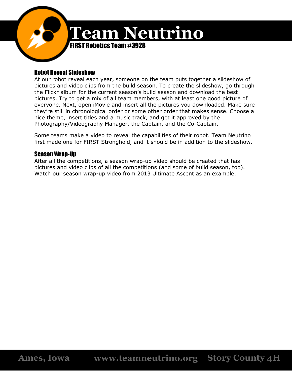![](_page_52_Picture_0.jpeg)

# Robot Reveal Slideshow

At our robot reveal each year, someone on the team puts together a slideshow of pictures and video clips from the build season. To create the slideshow, go through the Flickr album for the current season's build season and download the best pictures. Try to get a mix of all team members, with at least one good picture of everyone. Next, open iMovie and insert all the pictures you downloaded. Make sure they're still in chronological order or some other order that makes sense. Choose a nice theme, insert titles and a music track, and get it approved by the Photography/Videography Manager, the Captain, and the Co-Captain.

Some teams make a video to reveal the capabilities of their robot. Team Neutrino first made one for FIRST Stronghold, and it should be in addition to the slideshow.

# Season Wrap-Up

After all the competitions, a season wrap-up video should be created that has pictures and video clips of all the competitions (and some of build season, too). Watch our season wrap-up video from 2013 Ultimate Ascent as an example.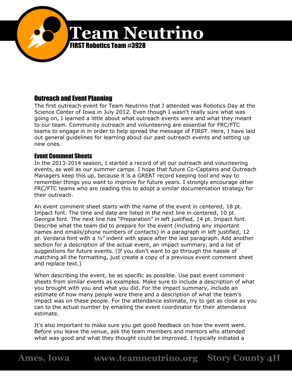![](_page_53_Picture_0.jpeg)

# Outreach and Event Planning

The first outreach event for Team Neutrino that I attended was Robotics Day at the Science Center of Iowa in July 2012. Even though I wasn't really sure what was going on, I learned a little about what outreach events were and what they meant to our team. Community outreach and volunteering are essential for FRC/FTC teams to engage in in order to help spread the message of FIRST. Here, I have laid out general guidelines for learning about our past outreach events and setting up new ones.

## Event Comment Sheets

In the 2013-2014 season, I started a record of all our outreach and volunteering events, as well as our summer camps. I hope that future Co-Captains and Outreach Managers keep this up, because it is a GREAT record keeping tool and way to remember things you want to improve for future years. I strongly encourage other FRC/FTC teams who are reading this to adopt a similar documentation strategy for their outreach.

An event comment sheet starts with the name of the event in centered, 18 pt. Impact font. The time and date are listed in the next line in centered, 10 pt. Georgia font. The next line has "Preparation" in left justified, 14 pt. Impact font. Describe what the team did to prepare for the event (including any important names and emails/phone numbers of contacts) in a paragraph in left justified, 12 pt. Verdana font with a ½" indent with space after the last paragraph. Add another section for a description of the actual event, an impact summary, and a list of suggestions for future events. (If you don't want to go through the hassle of matching all the formatting, just create a copy of a previous event comment sheet and replace text.)

When describing the event, be as specific as possible. Use past event comment sheets from similar events as examples. Make sure to include a description of what you brought with you and what you did. For the impact summary, include an estimate of how many people were there and a description of what the team's impact was on these people. For the attendance estimate, try to get as close as you can to the actual number by emailing the event coordinator for their attendance estimate.

It's also important to make sure you get good feedback on how the event went. Before you leave the venue, ask the team members and mentors who attended what was good and what they thought could be improved. I typically initiated a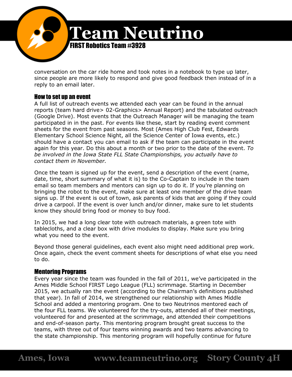![](_page_54_Picture_0.jpeg)

conversation on the car ride home and took notes in a notebook to type up later, since people are more likely to respond and give good feedback then instead of in a reply to an email later.

## How to set up an event

A full list of outreach events we attended each year can be found in the annual reports (team hard drive> 02-Graphics> Annual Report) and the tabulated outreach (Google Drive). Most events that the Outreach Manager will be managing the team participated in in the past. For events like these, start by reading event comment sheets for the event from past seasons. Most (Ames High Club Fest, Edwards Elementary School Science Night, all the Science Center of Iowa events, etc.) should have a contact you can email to ask if the team can participate in the event again for this year. Do this about a month or two prior to the date of the event. *To be involved in the Iowa State FLL State Championships, you actually have to contact them in November.*

Once the team is signed up for the event, send a description of the event (name, date, time, short summary of what it is) to the Co-Captain to include in the team email so team members and mentors can sign up to do it. If you're planning on bringing the robot to the event, make sure at least one member of the drive team signs up. If the event is out of town, ask parents of kids that are going if they could drive a carpool. If the event is over lunch and/or dinner, make sure to let students know they should bring food or money to buy food.

In 2015, we had a long clear tote with outreach materials, a green tote with tablecloths, and a clear box with drive modules to display. Make sure you bring what you need to the event.

Beyond those general guidelines, each event also might need additional prep work. Once again, check the event comment sheets for descriptions of what else you need to do.

## Mentoring Programs

Every year since the team was founded in the fall of 2011, we've participated in the Ames Middle School FIRST Lego League (FLL) scrimmage. Starting in December 2015, we actually ran the event (according to the Chairman's definitions published that year). In fall of 2014, we strengthened our relationship with Ames Middle School and added a mentoring program. One to two Neutrinos mentored each of the four FLL teams. We volunteered for the try-outs, attended all of their meetings, volunteered for and presented at the scrimmage, and attended their competitions and end-of-season party. This mentoring program brought great success to the teams, with three out of four teams winning awards and two teams advancing to the state championship. This mentoring program will hopefully continue for future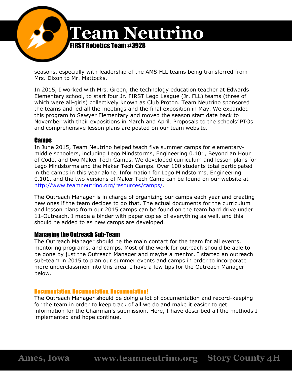![](_page_55_Picture_0.jpeg)

seasons, especially with leadership of the AMS FLL teams being transferred from Mrs. Dixon to Mr. Mattocks.

In 2015, I worked with Mrs. Green, the technology education teacher at Edwards Elementary school, to start four Jr. FIRST Lego League (Jr. FLL) teams (three of which were all-girls) collectively known as Club Proton. Team Neutrino sponsored the teams and led all the meetings and the final exposition in May. We expanded this program to Sawyer Elementary and moved the season start date back to November with their expositions in March and April. Proposals to the schools' PTOs and comprehensive lesson plans are posted on our team website.

## **Camps**

In June 2015, Team Neutrino helped teach five summer camps for elementarymiddle schoolers, including Lego Mindstorms, Engineering 0.101, Beyond an Hour of Code, and two Maker Tech Camps. We developed curriculum and lesson plans for Lego Mindstorms and the Maker Tech Camps. Over 100 students total participated in the camps in this year alone. Information for Lego Mindstorms, Engineering 0.101, and the two versions of Maker Tech Camp can be found on our website at [http://www.teamneutrino.org/resources/camps/.](http://www.teamneutrino.org/resources/camps/)

The Outreach Manager is in charge of organizing our camps each year and creating new ones if the team decides to do that. The actual documents for the curriculum and lesson plans from our 2015 camps can be found on the team hard drive under 11-Outreach. I made a binder with paper copies of everything as well, and this should be added to as new camps are developed.

#### Managing the Outreach Sub-Team

The Outreach Manager should be the main contact for the team for all events, mentoring programs, and camps. Most of the work for outreach should be able to be done by just the Outreach Manager and maybe a mentor. I started an outreach sub-team in 2015 to plan our summer events and camps in order to incorporate more underclassmen into this area. I have a few tips for the Outreach Manager below.

#### Documentation, Documentation, Documentation!

The Outreach Manager should be doing a lot of documentation and record-keeping for the team in order to keep track of all we do and make it easier to get information for the Chairman's submission. Here, I have described all the methods I implemented and hope continue.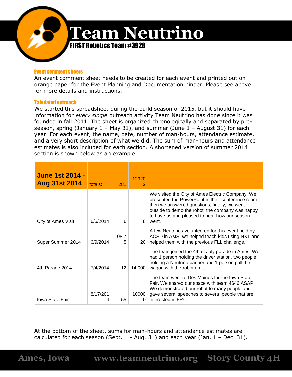![](_page_56_Picture_0.jpeg)

#### Event comment sheets

An event comment sheet needs to be created for each event and printed out on orange paper for the Event Planning and Documentation binder. Please see above for more details and instructions.

#### Tabulated outreach

We started this spreadsheet during the build season of 2015, but it should have information for *every single* outreach activity Team Neutrino has done since it was founded in fall 2011. The sheet is organized chronologically and separated by preseason, spring (January  $1 - May 31$ ), and summer (June  $1 - August 31$ ) for each year. For each event, the name, date, number of man-hours, attendance estimate, and a very short description of what we did. The sum of man-hours and attendance estimates is also included for each section. A shortened version of summer 2014 section is shown below as an example.

| <b>June 1st 2014 -</b><br><b>Aug 31st 2014</b> | totals:  | 281        | 12920           |                                                                                                                                                                                                                                                                      |
|------------------------------------------------|----------|------------|-----------------|----------------------------------------------------------------------------------------------------------------------------------------------------------------------------------------------------------------------------------------------------------------------|
| City of Ames Visit                             | 6/5/2014 | 6          | 8               | We visited the City of Ames Electric Company. We<br>presented the PowerPoint in their conference room,<br>then we answered questions, finally, we went<br>outside to demo the robot. the company was happy<br>to have us and pleased to hear how our season<br>went. |
| Super Summer 2014                              | 6/9/2014 | 108.7<br>5 | 20 <sub>1</sub> | A few Neutrinos volunteered for this event held by<br>ACSD in AMS, we helped teach kids using NXT and<br>helped them with the previous FLL challenge.                                                                                                                |
| 4th Parade 2014                                | 7/4/2014 | 12         | 14,000          | The team joined the 4th of July parade in Ames. We<br>had 1 person holding the driver station, two people<br>holding a Neutrino banner and 1 person pull the<br>wagon with the robot on it.                                                                          |
| <b>Iowa State Fair</b>                         | 8/17/201 | 55         | 10000           | The team went to Des Moines for the Iowa State<br>Fair. We shared our space with team 4646 ASAP.<br>We demonstrated our robot to many people and<br>gave several speeches to several people that are<br>interested in FRC.                                           |

At the bottom of the sheet, sums for man-hours and attendance estimates are calculated for each season (Sept.  $1 - Aug. 31$ ) and each year (Jan.  $1 - Dec. 31$ ).